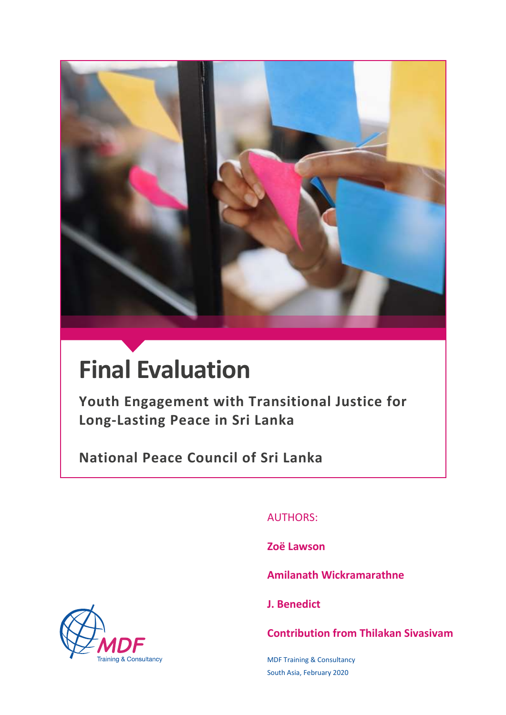

# **Final Evaluation**

**Youth Engagement with Transitional Justice for Long-Lasting Peace in Sri Lanka**

**National Peace Council of Sri Lanka**

AUTHORS:

**Zoë Lawson**

**Amilanath Wickramarathne**

**J. Benedict**

**Contribution from Thilakan Sivasivam**

MDF Training & Consultancy South Asia, February 2020

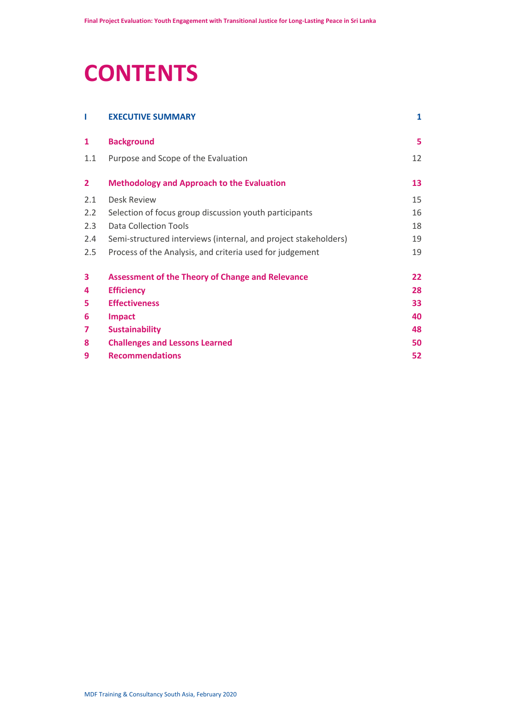# **CONTENTS**

| L              | <b>EXECUTIVE SUMMARY</b>                                        | 1  |
|----------------|-----------------------------------------------------------------|----|
| 1              | <b>Background</b>                                               | 5  |
| 1.1            | Purpose and Scope of the Evaluation                             | 12 |
| $\overline{2}$ | <b>Methodology and Approach to the Evaluation</b>               | 13 |
| 2.1            | Desk Review                                                     | 15 |
| 2.2            | Selection of focus group discussion youth participants          | 16 |
| 2.3            | Data Collection Tools                                           | 18 |
| 2.4            | Semi-structured interviews (internal, and project stakeholders) | 19 |
| 2.5            | Process of the Analysis, and criteria used for judgement        | 19 |
| 3              | <b>Assessment of the Theory of Change and Relevance</b>         | 22 |
| 4              | <b>Efficiency</b>                                               | 28 |
| 5              | <b>Effectiveness</b>                                            | 33 |
| 6              | <b>Impact</b>                                                   | 40 |
| 7              | <b>Sustainability</b>                                           | 48 |
| 8              | <b>Challenges and Lessons Learned</b>                           | 50 |
| 9              | <b>Recommendations</b>                                          | 52 |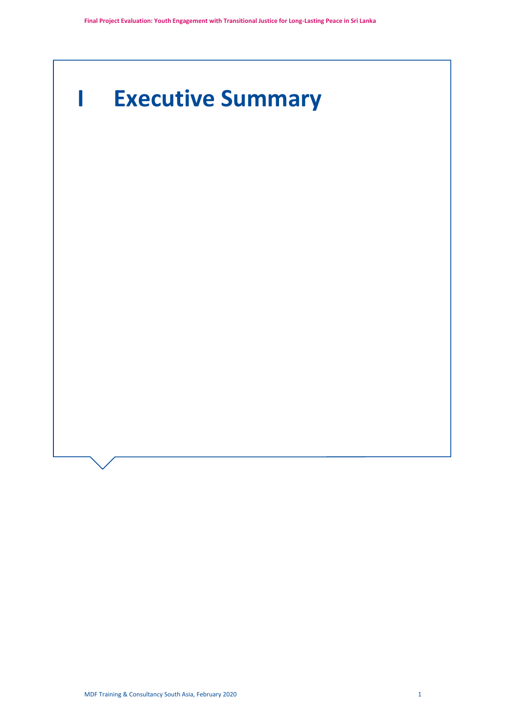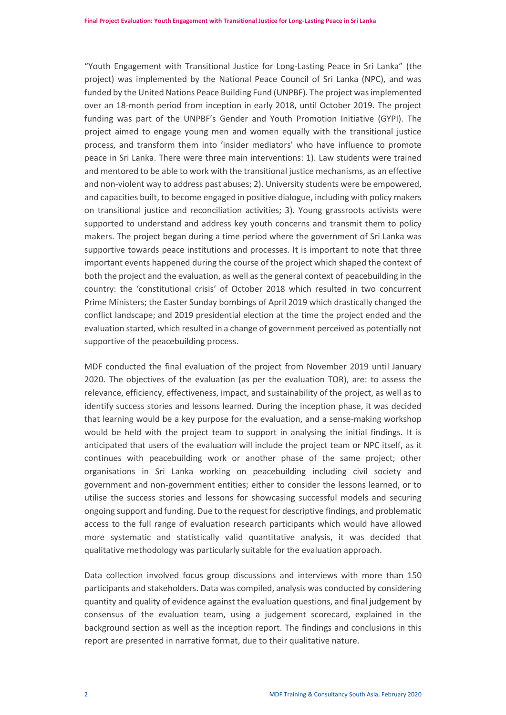"Youth Engagement with Transitional Justice for Long-Lasting Peace in Sri Lanka" (the project) was implemented by the National Peace Council of Sri Lanka (NPC), and was funded by the United Nations Peace Building Fund (UNPBF). The project was implemented over an 18-month period from inception in early 2018, until October 2019. The project funding was part of the UNPBF's Gender and Youth Promotion Initiative (GYPI). The project aimed to engage young men and women equally with the transitional justice process, and transform them into 'insider mediators' who have influence to promote peace in Sri Lanka. There were three main interventions: 1). Law students were trained and mentored to be able to work with the transitional justice mechanisms, as an effective and non-violent way to address past abuses; 2). University students were be empowered, and capacities built, to become engaged in positive dialogue, including with policy makers on transitional justice and reconciliation activities; 3). Young grassroots activists were supported to understand and address key youth concerns and transmit them to policy makers. The project began during a time period where the government of Sri Lanka was supportive towards peace institutions and processes. It is important to note that three important events happened during the course of the project which shaped the context of both the project and the evaluation, as well as the general context of peacebuilding in the country: the 'constitutional crisis' of October 2018 which resulted in two concurrent Prime Ministers; the Easter Sunday bombings of April 2019 which drastically changed the conflict landscape; and 2019 presidential election at the time the project ended and the evaluation started, which resulted in a change of government perceived as potentially not supportive of the peacebuilding process.

MDF conducted the final evaluation of the project from November 2019 until January 2020. The objectives of the evaluation (as per the evaluation TOR), are: to assess the relevance, efficiency, effectiveness, impact, and sustainability of the project, as well as to identify success stories and lessons learned. During the inception phase, it was decided that learning would be a key purpose for the evaluation, and a sense-making workshop would be held with the project team to support in analysing the initial findings. It is anticipated that users of the evaluation will include the project team or NPC itself, as it continues with peacebuilding work or another phase of the same project; other organisations in Sri Lanka working on peacebuilding including civil society and government and non-government entities; either to consider the lessons learned, or to utilise the success stories and lessons for showcasing successful models and securing ongoing support and funding. Due to the request for descriptive findings, and problematic access to the full range of evaluation research participants which would have allowed more systematic and statistically valid quantitative analysis, it was decided that qualitative methodology was particularly suitable for the evaluation approach.

Data collection involved focus group discussions and interviews with more than 150 participants and stakeholders. Data was compiled, analysis was conducted by considering quantity and quality of evidence against the evaluation questions, and final judgement by consensus of the evaluation team, using a judgement scorecard, explained in the background section as well as the inception report. The findings and conclusions in this report are presented in narrative format, due to their qualitative nature.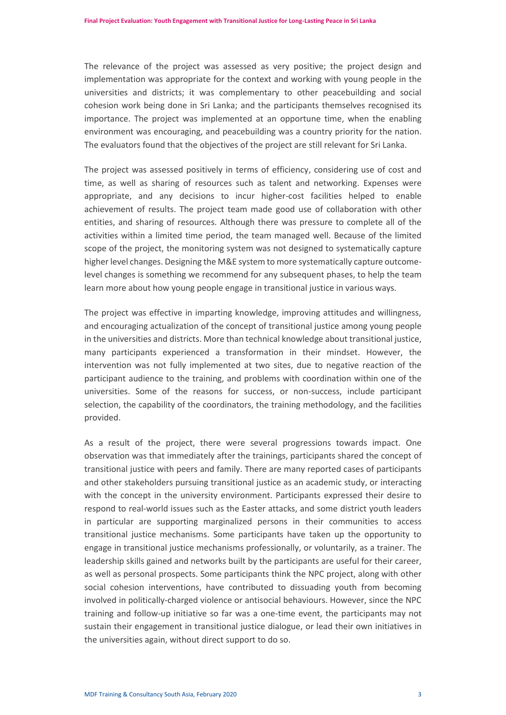The relevance of the project was assessed as very positive; the project design and implementation was appropriate for the context and working with young people in the universities and districts; it was complementary to other peacebuilding and social cohesion work being done in Sri Lanka; and the participants themselves recognised its importance. The project was implemented at an opportune time, when the enabling environment was encouraging, and peacebuilding was a country priority for the nation. The evaluators found that the objectives of the project are still relevant for Sri Lanka.

The project was assessed positively in terms of efficiency, considering use of cost and time, as well as sharing of resources such as talent and networking. Expenses were appropriate, and any decisions to incur higher-cost facilities helped to enable achievement of results. The project team made good use of collaboration with other entities, and sharing of resources. Although there was pressure to complete all of the activities within a limited time period, the team managed well. Because of the limited scope of the project, the monitoring system was not designed to systematically capture higher level changes. Designing the M&E system to more systematically capture outcomelevel changes is something we recommend for any subsequent phases, to help the team learn more about how young people engage in transitional justice in various ways.

The project was effective in imparting knowledge, improving attitudes and willingness, and encouraging actualization of the concept of transitional justice among young people in the universities and districts. More than technical knowledge about transitional justice, many participants experienced a transformation in their mindset. However, the intervention was not fully implemented at two sites, due to negative reaction of the participant audience to the training, and problems with coordination within one of the universities. Some of the reasons for success, or non-success, include participant selection, the capability of the coordinators, the training methodology, and the facilities provided.

As a result of the project, there were several progressions towards impact. One observation was that immediately after the trainings, participants shared the concept of transitional justice with peers and family. There are many reported cases of participants and other stakeholders pursuing transitional justice as an academic study, or interacting with the concept in the university environment. Participants expressed their desire to respond to real-world issues such as the Easter attacks, and some district youth leaders in particular are supporting marginalized persons in their communities to access transitional justice mechanisms. Some participants have taken up the opportunity to engage in transitional justice mechanisms professionally, or voluntarily, as a trainer. The leadership skills gained and networks built by the participants are useful for their career, as well as personal prospects. Some participants think the NPC project, along with other social cohesion interventions, have contributed to dissuading youth from becoming involved in politically-charged violence or antisocial behaviours. However, since the NPC training and follow-up initiative so far was a one-time event, the participants may not sustain their engagement in transitional justice dialogue, or lead their own initiatives in the universities again, without direct support to do so.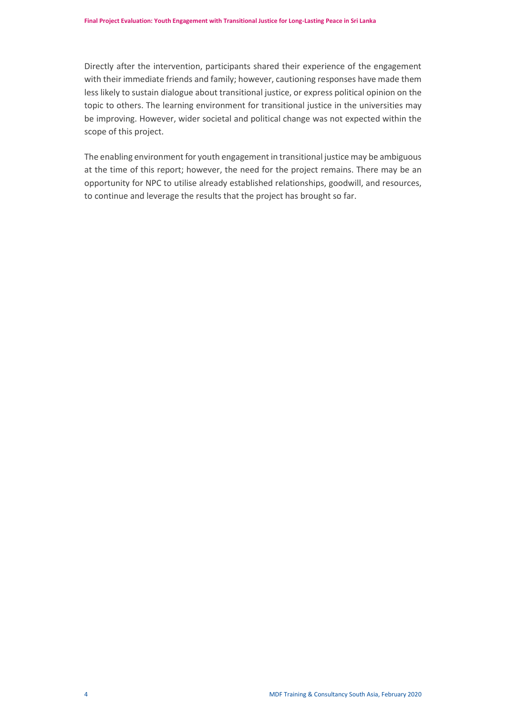Directly after the intervention, participants shared their experience of the engagement with their immediate friends and family; however, cautioning responses have made them less likely to sustain dialogue about transitional justice, or express political opinion on the topic to others. The learning environment for transitional justice in the universities may be improving. However, wider societal and political change was not expected within the scope of this project.

The enabling environment for youth engagement in transitional justice may be ambiguous at the time of this report; however, the need for the project remains. There may be an opportunity for NPC to utilise already established relationships, goodwill, and resources, to continue and leverage the results that the project has brought so far.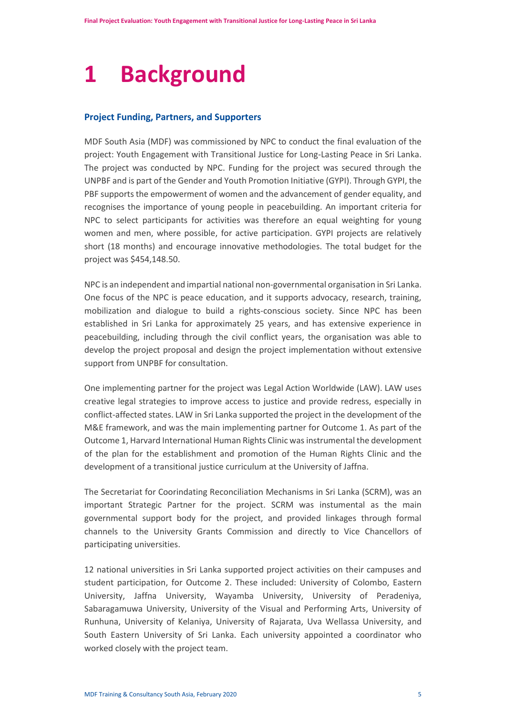# <span id="page-6-0"></span>**1 Background**

# **Project Funding, Partners, and Supporters**

MDF South Asia (MDF) was commissioned by NPC to conduct the final evaluation of the project: Youth Engagement with Transitional Justice for Long-Lasting Peace in Sri Lanka. The project was conducted by NPC. Funding for the project was secured through the UNPBF and is part of the Gender and Youth Promotion Initiative (GYPI). Through GYPI, the PBF supports the empowerment of women and the advancement of gender equality, and recognises the importance of young people in peacebuilding. An important criteria for NPC to select participants for activities was therefore an equal weighting for young women and men, where possible, for active participation. GYPI projects are relatively short (18 months) and encourage innovative methodologies. The total budget for the project was \$454,148.50.

NPC is an independent and impartial national non-governmental organisation in Sri Lanka. One focus of the NPC is peace education, and it supports advocacy, research, training, mobilization and dialogue to build a rights-conscious society. Since NPC has been established in Sri Lanka for approximately 25 years, and has extensive experience in peacebuilding, including through the civil conflict years, the organisation was able to develop the project proposal and design the project implementation without extensive support from UNPBF for consultation.

One implementing partner for the project was Legal Action Worldwide (LAW). LAW uses creative legal strategies to improve access to justice and provide redress, especially in conflict-affected states. LAW in Sri Lanka supported the project in the development of the M&E framework, and was the main implementing partner for Outcome 1. As part of the Outcome 1, Harvard International Human Rights Clinic was instrumental the development of the plan for the establishment and promotion of the Human Rights Clinic and the development of a transitional justice curriculum at the University of Jaffna.

The Secretariat for Coorindating Reconciliation Mechanisms in Sri Lanka (SCRM), was an important Strategic Partner for the project. SCRM was instumental as the main governmental support body for the project, and provided linkages through formal channels to the University Grants Commission and directly to Vice Chancellors of participating universities.

12 national universities in Sri Lanka supported project activities on their campuses and student participation, for Outcome 2. These included: University of Colombo, Eastern University, Jaffna University, Wayamba University, University of Peradeniya, Sabaragamuwa University, University of the Visual and Performing Arts, University of Runhuna, University of Kelaniya, University of Rajarata, Uva Wellassa University, and South Eastern University of Sri Lanka. Each university appointed a coordinator who worked closely with the project team.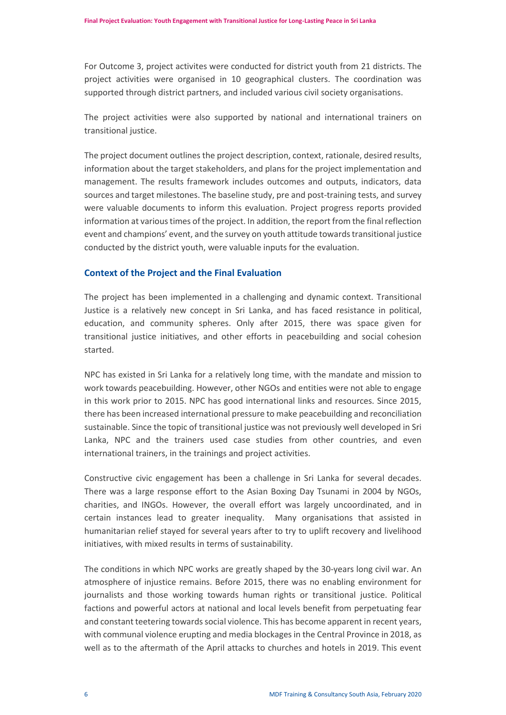For Outcome 3, project activites were conducted for district youth from 21 districts. The project activities were organised in 10 geographical clusters. The coordination was supported through district partners, and included various civil society organisations.

The project activities were also supported by national and international trainers on transitional justice.

The project document outlines the project description, context, rationale, desired results, information about the target stakeholders, and plans for the project implementation and management. The results framework includes outcomes and outputs, indicators, data sources and target milestones. The baseline study, pre and post-training tests, and survey were valuable documents to inform this evaluation. Project progress reports provided information at various times of the project. In addition, the report from the final reflection event and champions' event, and the survey on youth attitude towards transitional justice conducted by the district youth, were valuable inputs for the evaluation.

# **Context of the Project and the Final Evaluation**

The project has been implemented in a challenging and dynamic context. Transitional Justice is a relatively new concept in Sri Lanka, and has faced resistance in political, education, and community spheres. Only after 2015, there was space given for transitional justice initiatives, and other efforts in peacebuilding and social cohesion started.

NPC has existed in Sri Lanka for a relatively long time, with the mandate and mission to work towards peacebuilding. However, other NGOs and entities were not able to engage in this work prior to 2015. NPC has good international links and resources. Since 2015, there has been increased international pressure to make peacebuilding and reconciliation sustainable. Since the topic of transitional justice was not previously well developed in Sri Lanka, NPC and the trainers used case studies from other countries, and even international trainers, in the trainings and project activities.

Constructive civic engagement has been a challenge in Sri Lanka for several decades. There was a large response effort to the Asian Boxing Day Tsunami in 2004 by NGOs, charities, and INGOs. However, the overall effort was largely uncoordinated, and in certain instances lead to greater inequality. Many organisations that assisted in humanitarian relief stayed for several years after to try to uplift recovery and livelihood initiatives, with mixed results in terms of sustainability.

The conditions in which NPC works are greatly shaped by the 30-years long civil war. An atmosphere of injustice remains. Before 2015, there was no enabling environment for journalists and those working towards human rights or transitional justice. Political factions and powerful actors at national and local levels benefit from perpetuating fear and constant teetering towards social violence. This has become apparent in recent years, with communal violence erupting and media blockages in the Central Province in 2018, as well as to the aftermath of the April attacks to churches and hotels in 2019. This event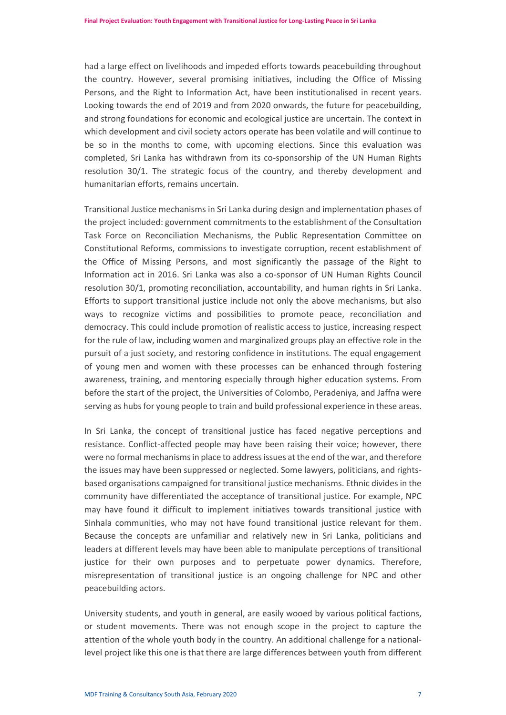had a large effect on livelihoods and impeded efforts towards peacebuilding throughout the country. However, several promising initiatives, including the Office of Missing Persons, and the Right to Information Act, have been institutionalised in recent years. Looking towards the end of 2019 and from 2020 onwards, the future for peacebuilding, and strong foundations for economic and ecological justice are uncertain. The context in which development and civil society actors operate has been volatile and will continue to be so in the months to come, with upcoming elections. Since this evaluation was completed, Sri Lanka has withdrawn from its co-sponsorship of the UN Human Rights resolution 30/1. The strategic focus of the country, and thereby development and humanitarian efforts, remains uncertain.

Transitional Justice mechanisms in Sri Lanka during design and implementation phases of the project included: government commitments to the establishment of the Consultation Task Force on Reconciliation Mechanisms, the Public Representation Committee on Constitutional Reforms, commissions to investigate corruption, recent establishment of the Office of Missing Persons, and most significantly the passage of the Right to Information act in 2016. Sri Lanka was also a co-sponsor of UN Human Rights Council resolution 30/1, promoting reconciliation, accountability, and human rights in Sri Lanka. Efforts to support transitional justice include not only the above mechanisms, but also ways to recognize victims and possibilities to promote peace, reconciliation and democracy. This could include promotion of realistic access to justice, increasing respect for the rule of law, including women and marginalized groups play an effective role in the pursuit of a just society, and restoring confidence in institutions. The equal engagement of young men and women with these processes can be enhanced through fostering awareness, training, and mentoring especially through higher education systems. From before the start of the project, the Universities of Colombo, Peradeniya, and Jaffna were serving as hubs for young people to train and build professional experience in these areas.

In Sri Lanka, the concept of transitional justice has faced negative perceptions and resistance. Conflict-affected people may have been raising their voice; however, there were no formal mechanisms in place to address issues at the end of the war, and therefore the issues may have been suppressed or neglected. Some lawyers, politicians, and rightsbased organisations campaigned for transitional justice mechanisms. Ethnic divides in the community have differentiated the acceptance of transitional justice. For example, NPC may have found it difficult to implement initiatives towards transitional justice with Sinhala communities, who may not have found transitional justice relevant for them. Because the concepts are unfamiliar and relatively new in Sri Lanka, politicians and leaders at different levels may have been able to manipulate perceptions of transitional justice for their own purposes and to perpetuate power dynamics. Therefore, misrepresentation of transitional justice is an ongoing challenge for NPC and other peacebuilding actors.

University students, and youth in general, are easily wooed by various political factions, or student movements. There was not enough scope in the project to capture the attention of the whole youth body in the country. An additional challenge for a nationallevel project like this one is that there are large differences between youth from different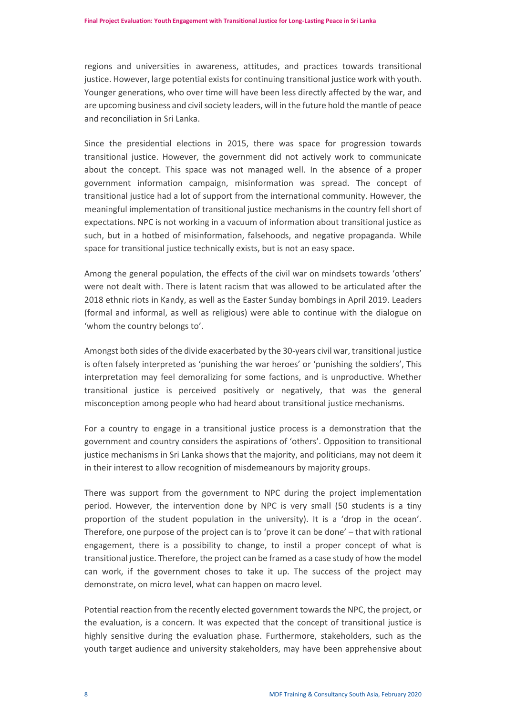regions and universities in awareness, attitudes, and practices towards transitional justice. However, large potential exists for continuing transitional justice work with youth. Younger generations, who over time will have been less directly affected by the war, and are upcoming business and civil society leaders, will in the future hold the mantle of peace and reconciliation in Sri Lanka.

Since the presidential elections in 2015, there was space for progression towards transitional justice. However, the government did not actively work to communicate about the concept. This space was not managed well. In the absence of a proper government information campaign, misinformation was spread. The concept of transitional justice had a lot of support from the international community. However, the meaningful implementation of transitional justice mechanisms in the country fell short of expectations. NPC is not working in a vacuum of information about transitional justice as such, but in a hotbed of misinformation, falsehoods, and negative propaganda. While space for transitional justice technically exists, but is not an easy space.

Among the general population, the effects of the civil war on mindsets towards 'others' were not dealt with. There is latent racism that was allowed to be articulated after the 2018 ethnic riots in Kandy, as well as the Easter Sunday bombings in April 2019. Leaders (formal and informal, as well as religious) were able to continue with the dialogue on 'whom the country belongs to'.

Amongst both sides of the divide exacerbated by the 30-years civil war, transitional justice is often falsely interpreted as 'punishing the war heroes' or 'punishing the soldiers', This interpretation may feel demoralizing for some factions, and is unproductive. Whether transitional justice is perceived positively or negatively, that was the general misconception among people who had heard about transitional justice mechanisms.

For a country to engage in a transitional justice process is a demonstration that the government and country considers the aspirations of 'others'. Opposition to transitional justice mechanisms in Sri Lanka shows that the majority, and politicians, may not deem it in their interest to allow recognition of misdemeanours by majority groups.

There was support from the government to NPC during the project implementation period. However, the intervention done by NPC is very small (50 students is a tiny proportion of the student population in the university). It is a 'drop in the ocean'. Therefore, one purpose of the project can is to 'prove it can be done' – that with rational engagement, there is a possibility to change, to instil a proper concept of what is transitional justice. Therefore, the project can be framed as a case study of how the model can work, if the government choses to take it up. The success of the project may demonstrate, on micro level, what can happen on macro level.

Potential reaction from the recently elected government towards the NPC, the project, or the evaluation, is a concern. It was expected that the concept of transitional justice is highly sensitive during the evaluation phase. Furthermore, stakeholders, such as the youth target audience and university stakeholders, may have been apprehensive about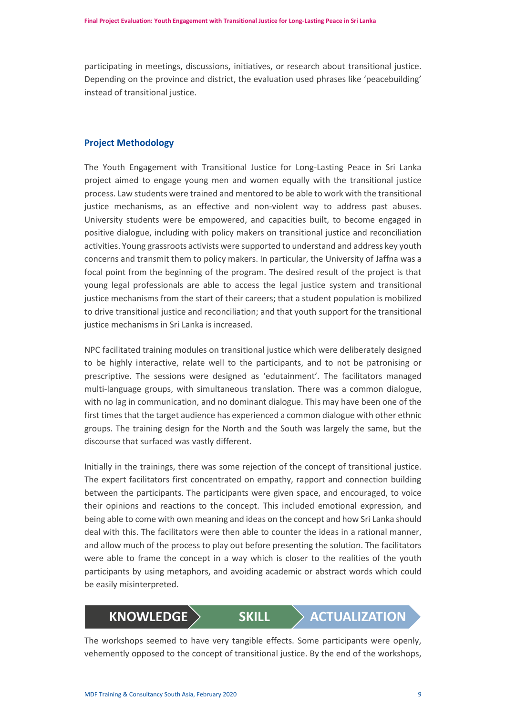participating in meetings, discussions, initiatives, or research about transitional justice. Depending on the province and district, the evaluation used phrases like 'peacebuilding' instead of transitional justice.

# **Project Methodology**

The Youth Engagement with Transitional Justice for Long-Lasting Peace in Sri Lanka project aimed to engage young men and women equally with the transitional justice process. Law students were trained and mentored to be able to work with the transitional justice mechanisms, as an effective and non-violent way to address past abuses. University students were be empowered, and capacities built, to become engaged in positive dialogue, including with policy makers on transitional justice and reconciliation activities. Young grassroots activists were supported to understand and address key youth concerns and transmit them to policy makers. In particular, the University of Jaffna was a focal point from the beginning of the program. The desired result of the project is that young legal professionals are able to access the legal justice system and transitional justice mechanisms from the start of their careers; that a student population is mobilized to drive transitional justice and reconciliation; and that youth support for the transitional justice mechanisms in Sri Lanka is increased.

NPC facilitated training modules on transitional justice which were deliberately designed to be highly interactive, relate well to the participants, and to not be patronising or prescriptive. The sessions were designed as 'edutainment'. The facilitators managed multi-language groups, with simultaneous translation. There was a common dialogue, with no lag in communication, and no dominant dialogue. This may have been one of the first times that the target audience has experienced a common dialogue with other ethnic groups. The training design for the North and the South was largely the same, but the discourse that surfaced was vastly different.

Initially in the trainings, there was some rejection of the concept of transitional justice. The expert facilitators first concentrated on empathy, rapport and connection building between the participants. The participants were given space, and encouraged, to voice their opinions and reactions to the concept. This included emotional expression, and being able to come with own meaning and ideas on the concept and how Sri Lanka should deal with this. The facilitators were then able to counter the ideas in a rational manner, and allow much of the process to play out before presenting the solution. The facilitators were able to frame the concept in a way which is closer to the realities of the youth participants by using metaphors, and avoiding academic or abstract words which could be easily misinterpreted.

# **KNOWLEDGE SKILL ACTUALIZATION**

The workshops seemed to have very tangible effects. Some participants were openly, vehemently opposed to the concept of transitional justice. By the end of the workshops,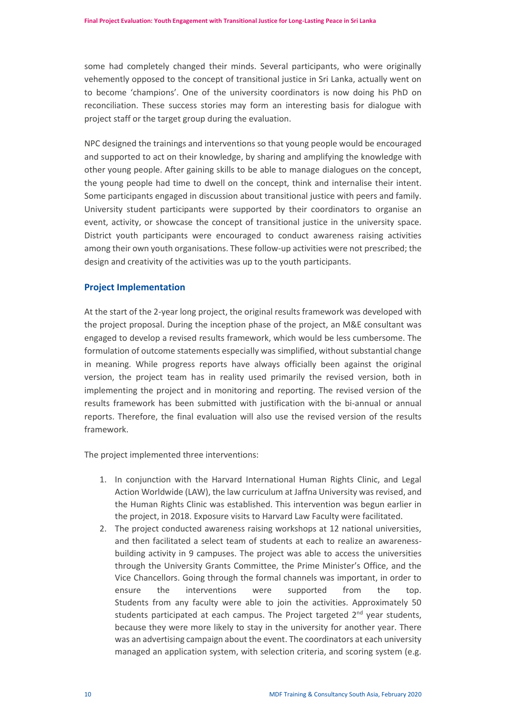some had completely changed their minds. Several participants, who were originally vehemently opposed to the concept of transitional justice in Sri Lanka, actually went on to become 'champions'. One of the university coordinators is now doing his PhD on reconciliation. These success stories may form an interesting basis for dialogue with project staff or the target group during the evaluation.

NPC designed the trainings and interventions so that young people would be encouraged and supported to act on their knowledge, by sharing and amplifying the knowledge with other young people. After gaining skills to be able to manage dialogues on the concept, the young people had time to dwell on the concept, think and internalise their intent. Some participants engaged in discussion about transitional justice with peers and family. University student participants were supported by their coordinators to organise an event, activity, or showcase the concept of transitional justice in the university space. District youth participants were encouraged to conduct awareness raising activities among their own youth organisations. These follow-up activities were not prescribed; the design and creativity of the activities was up to the youth participants.

#### **Project Implementation**

At the start of the 2-year long project, the original results framework was developed with the project proposal. During the inception phase of the project, an M&E consultant was engaged to develop a revised results framework, which would be less cumbersome. The formulation of outcome statements especially was simplified, without substantial change in meaning. While progress reports have always officially been against the original version, the project team has in reality used primarily the revised version, both in implementing the project and in monitoring and reporting. The revised version of the results framework has been submitted with justification with the bi-annual or annual reports. Therefore, the final evaluation will also use the revised version of the results framework.

The project implemented three interventions:

- 1. In conjunction with the Harvard International Human Rights Clinic, and Legal Action Worldwide (LAW), the law curriculum at Jaffna University was revised, and the Human Rights Clinic was established. This intervention was begun earlier in the project, in 2018. Exposure visits to Harvard Law Faculty were facilitated.
- 2. The project conducted awareness raising workshops at 12 national universities, and then facilitated a select team of students at each to realize an awarenessbuilding activity in 9 campuses. The project was able to access the universities through the University Grants Committee, the Prime Minister's Office, and the Vice Chancellors. Going through the formal channels was important, in order to ensure the interventions were supported from the top. Students from any faculty were able to join the activities. Approximately 50 students participated at each campus. The Project targeted  $2^{nd}$  year students, because they were more likely to stay in the university for another year. There was an advertising campaign about the event. The coordinators at each university managed an application system, with selection criteria, and scoring system (e.g.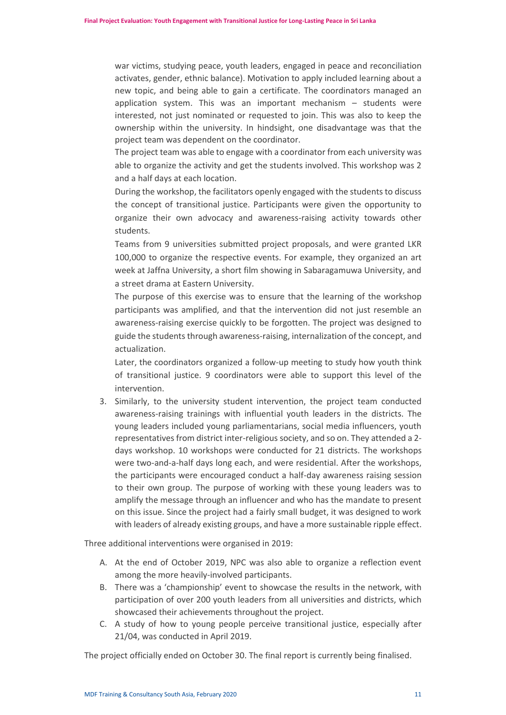war victims, studying peace, youth leaders, engaged in peace and reconciliation activates, gender, ethnic balance). Motivation to apply included learning about a new topic, and being able to gain a certificate. The coordinators managed an application system. This was an important mechanism – students were interested, not just nominated or requested to join. This was also to keep the ownership within the university. In hindsight, one disadvantage was that the project team was dependent on the coordinator.

The project team was able to engage with a coordinator from each university was able to organize the activity and get the students involved. This workshop was 2 and a half days at each location.

During the workshop, the facilitators openly engaged with the students to discuss the concept of transitional justice. Participants were given the opportunity to organize their own advocacy and awareness-raising activity towards other students.

Teams from 9 universities submitted project proposals, and were granted LKR 100,000 to organize the respective events. For example, they organized an art week at Jaffna University, a short film showing in Sabaragamuwa University, and a street drama at Eastern University.

The purpose of this exercise was to ensure that the learning of the workshop participants was amplified, and that the intervention did not just resemble an awareness-raising exercise quickly to be forgotten. The project was designed to guide the students through awareness-raising, internalization of the concept, and actualization.

Later, the coordinators organized a follow-up meeting to study how youth think of transitional justice. 9 coordinators were able to support this level of the intervention.

3. Similarly, to the university student intervention, the project team conducted awareness-raising trainings with influential youth leaders in the districts. The young leaders included young parliamentarians, social media influencers, youth representatives from district inter-religious society, and so on. They attended a 2 days workshop. 10 workshops were conducted for 21 districts. The workshops were two-and-a-half days long each, and were residential. After the workshops, the participants were encouraged conduct a half-day awareness raising session to their own group. The purpose of working with these young leaders was to amplify the message through an influencer and who has the mandate to present on this issue. Since the project had a fairly small budget, it was designed to work with leaders of already existing groups, and have a more sustainable ripple effect.

Three additional interventions were organised in 2019:

- A. At the end of October 2019, NPC was also able to organize a reflection event among the more heavily-involved participants.
- B. There was a 'championship' event to showcase the results in the network, with participation of over 200 youth leaders from all universities and districts, which showcased their achievements throughout the project.
- C. A study of how to young people perceive transitional justice, especially after 21/04, was conducted in April 2019.

The project officially ended on October 30. The final report is currently being finalised.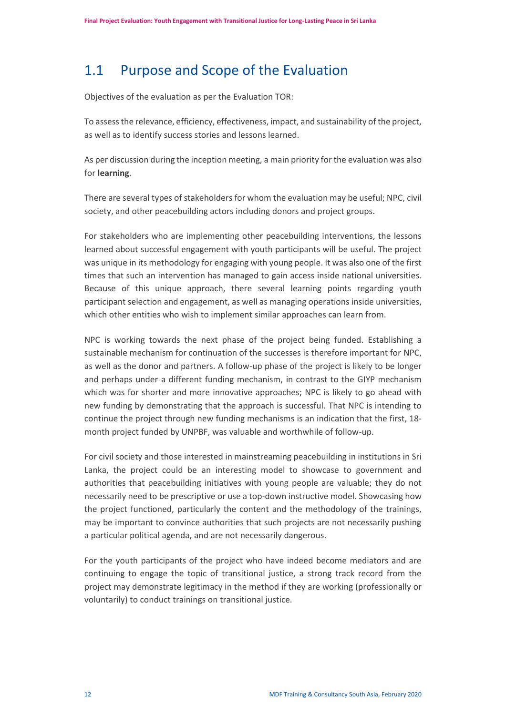# <span id="page-13-0"></span>1.1 Purpose and Scope of the Evaluation

Objectives of the evaluation as per the Evaluation TOR:

To assess the relevance, efficiency, effectiveness, impact, and sustainability of the project, as well as to identify success stories and lessons learned.

As per discussion during the inception meeting, a main priority for the evaluation was also for **learning**.

There are several types of stakeholders for whom the evaluation may be useful; NPC, civil society, and other peacebuilding actors including donors and project groups.

For stakeholders who are implementing other peacebuilding interventions, the lessons learned about successful engagement with youth participants will be useful. The project was unique in its methodology for engaging with young people. It was also one of the first times that such an intervention has managed to gain access inside national universities. Because of this unique approach, there several learning points regarding youth participant selection and engagement, as well as managing operations inside universities, which other entities who wish to implement similar approaches can learn from.

NPC is working towards the next phase of the project being funded. Establishing a sustainable mechanism for continuation of the successes is therefore important for NPC, as well as the donor and partners. A follow-up phase of the project is likely to be longer and perhaps under a different funding mechanism, in contrast to the GIYP mechanism which was for shorter and more innovative approaches; NPC is likely to go ahead with new funding by demonstrating that the approach is successful. That NPC is intending to continue the project through new funding mechanisms is an indication that the first, 18 month project funded by UNPBF, was valuable and worthwhile of follow-up.

For civil society and those interested in mainstreaming peacebuilding in institutions in Sri Lanka, the project could be an interesting model to showcase to government and authorities that peacebuilding initiatives with young people are valuable; they do not necessarily need to be prescriptive or use a top-down instructive model. Showcasing how the project functioned, particularly the content and the methodology of the trainings, may be important to convince authorities that such projects are not necessarily pushing a particular political agenda, and are not necessarily dangerous.

For the youth participants of the project who have indeed become mediators and are continuing to engage the topic of transitional justice, a strong track record from the project may demonstrate legitimacy in the method if they are working (professionally or voluntarily) to conduct trainings on transitional justice.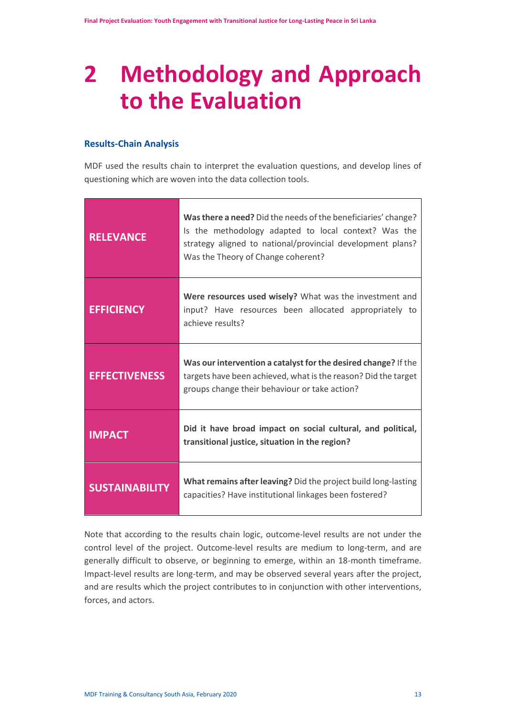# <span id="page-14-0"></span>**2 Methodology and Approach to the Evaluation**

# **Results-Chain Analysis**

MDF used the results chain to interpret the evaluation questions, and develop lines of questioning which are woven into the data collection tools.

| <b>RELEVANCE</b>      | Was there a need? Did the needs of the beneficiaries' change?<br>Is the methodology adapted to local context? Was the<br>strategy aligned to national/provincial development plans?<br>Was the Theory of Change coherent? |  |
|-----------------------|---------------------------------------------------------------------------------------------------------------------------------------------------------------------------------------------------------------------------|--|
| <b>EFFICIENCY</b>     | Were resources used wisely? What was the investment and<br>input? Have resources been allocated appropriately to<br>achieve results?                                                                                      |  |
| <b>EFFECTIVENESS</b>  | Was our intervention a catalyst for the desired change? If the<br>targets have been achieved, what is the reason? Did the target<br>groups change their behaviour or take action?                                         |  |
| <b>IMPACT</b>         | Did it have broad impact on social cultural, and political,<br>transitional justice, situation in the region?                                                                                                             |  |
| <b>SUSTAINABILITY</b> | What remains after leaving? Did the project build long-lasting<br>capacities? Have institutional linkages been fostered?                                                                                                  |  |

Note that according to the results chain logic, outcome-level results are not under the control level of the project. Outcome-level results are medium to long-term, and are generally difficult to observe, or beginning to emerge, within an 18-month timeframe. Impact-level results are long-term, and may be observed several years after the project, and are results which the project contributes to in conjunction with other interventions, forces, and actors.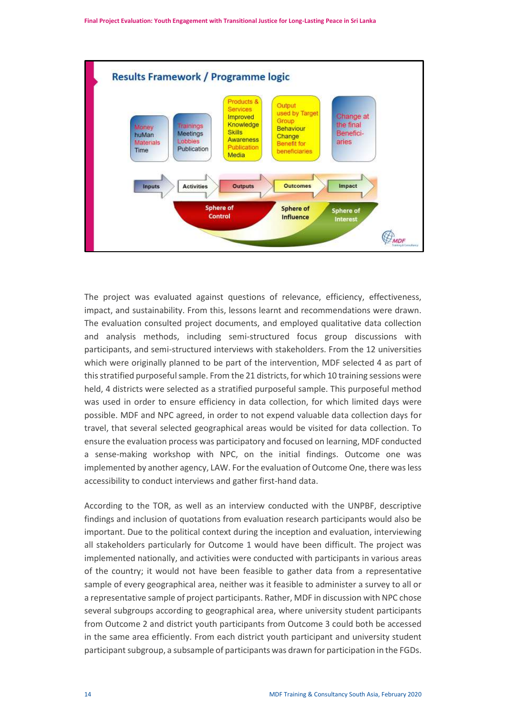

The project was evaluated against questions of relevance, efficiency, effectiveness, impact, and sustainability. From this, lessons learnt and recommendations were drawn. The evaluation consulted project documents, and employed qualitative data collection and analysis methods, including semi-structured focus group discussions with participants, and semi-structured interviews with stakeholders. From the 12 universities which were originally planned to be part of the intervention, MDF selected 4 as part of this stratified purposeful sample. From the 21 districts, for which 10 training sessions were held, 4 districts were selected as a stratified purposeful sample. This purposeful method was used in order to ensure efficiency in data collection, for which limited days were possible. MDF and NPC agreed, in order to not expend valuable data collection days for travel, that several selected geographical areas would be visited for data collection. To ensure the evaluation process was participatory and focused on learning, MDF conducted a sense-making workshop with NPC, on the initial findings. Outcome one was implemented by another agency, LAW. For the evaluation of Outcome One, there was less accessibility to conduct interviews and gather first-hand data.

According to the TOR, as well as an interview conducted with the UNPBF, descriptive findings and inclusion of quotations from evaluation research participants would also be important. Due to the political context during the inception and evaluation, interviewing all stakeholders particularly for Outcome 1 would have been difficult. The project was implemented nationally, and activities were conducted with participants in various areas of the country; it would not have been feasible to gather data from a representative sample of every geographical area, neither was it feasible to administer a survey to all or a representative sample of project participants. Rather, MDF in discussion with NPC chose several subgroups according to geographical area, where university student participants from Outcome 2 and district youth participants from Outcome 3 could both be accessed in the same area efficiently. From each district youth participant and university student participant subgroup, a subsample of participants was drawn for participation in the FGDs.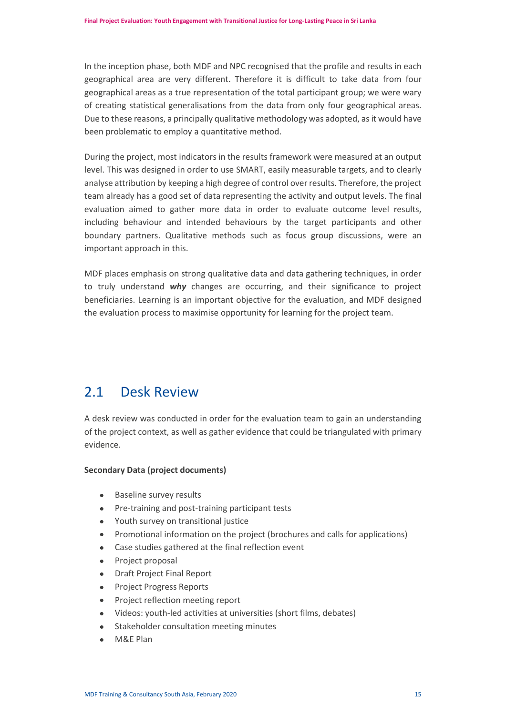In the inception phase, both MDF and NPC recognised that the profile and results in each geographical area are very different. Therefore it is difficult to take data from four geographical areas as a true representation of the total participant group; we were wary of creating statistical generalisations from the data from only four geographical areas. Due to these reasons, a principally qualitative methodology was adopted, as it would have been problematic to employ a quantitative method.

During the project, most indicators in the results framework were measured at an output level. This was designed in order to use SMART, easily measurable targets, and to clearly analyse attribution by keeping a high degree of control over results. Therefore, the project team already has a good set of data representing the activity and output levels. The final evaluation aimed to gather more data in order to evaluate outcome level results, including behaviour and intended behaviours by the target participants and other boundary partners. Qualitative methods such as focus group discussions, were an important approach in this.

MDF places emphasis on strong qualitative data and data gathering techniques, in order to truly understand *why* changes are occurring, and their significance to project beneficiaries. Learning is an important objective for the evaluation, and MDF designed the evaluation process to maximise opportunity for learning for the project team.

# <span id="page-16-0"></span>2.1 Desk Review

A desk review was conducted in order for the evaluation team to gain an understanding of the project context, as well as gather evidence that could be triangulated with primary evidence.

## **Secondary Data (project documents)**

- Baseline survey results
- Pre-training and post-training participant tests
- Youth survey on transitional justice
- Promotional information on the project (brochures and calls for applications)
- Case studies gathered at the final reflection event
- Project proposal
- Draft Project Final Report
- Project Progress Reports
- Project reflection meeting report
- Videos: youth-led activities at universities (short films, debates)
- Stakeholder consultation meeting minutes
- M&E Plan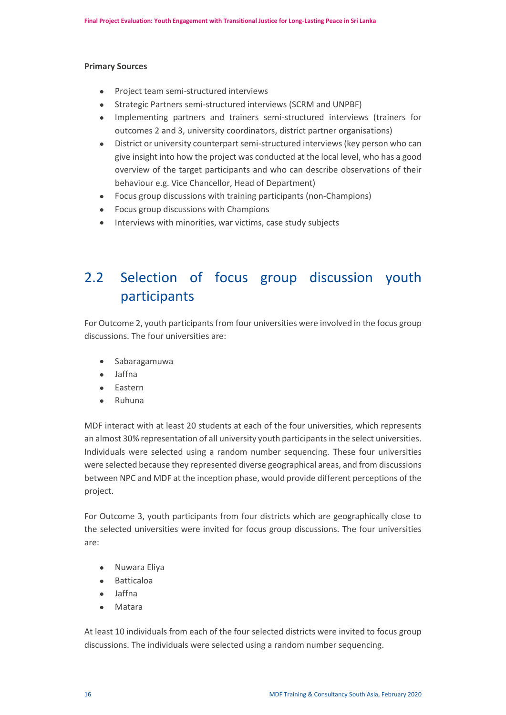#### **Primary Sources**

- Project team semi-structured interviews
- Strategic Partners semi-structured interviews (SCRM and UNPBF)
- Implementing partners and trainers semi-structured interviews (trainers for outcomes 2 and 3, university coordinators, district partner organisations)
- District or university counterpart semi-structured interviews (key person who can give insight into how the project was conducted at the local level, who has a good overview of the target participants and who can describe observations of their behaviour e.g. Vice Chancellor, Head of Department)
- Focus group discussions with training participants (non-Champions)
- Focus group discussions with Champions
- Interviews with minorities, war victims, case study subjects

# <span id="page-17-0"></span>2.2 Selection of focus group discussion youth participants

For Outcome 2, youth participants from four universities were involved in the focus group discussions. The four universities are:

- Sabaragamuwa
- Jaffna
- Eastern
- Ruhuna

MDF interact with at least 20 students at each of the four universities, which represents an almost 30% representation of all university youth participants in the select universities. Individuals were selected using a random number sequencing. These four universities were selected because they represented diverse geographical areas, and from discussions between NPC and MDF at the inception phase, would provide different perceptions of the project.

For Outcome 3, youth participants from four districts which are geographically close to the selected universities were invited for focus group discussions. The four universities are:

- Nuwara Eliya
- Batticaloa
- Jaffna
- Matara

At least 10 individuals from each of the four selected districts were invited to focus group discussions. The individuals were selected using a random number sequencing.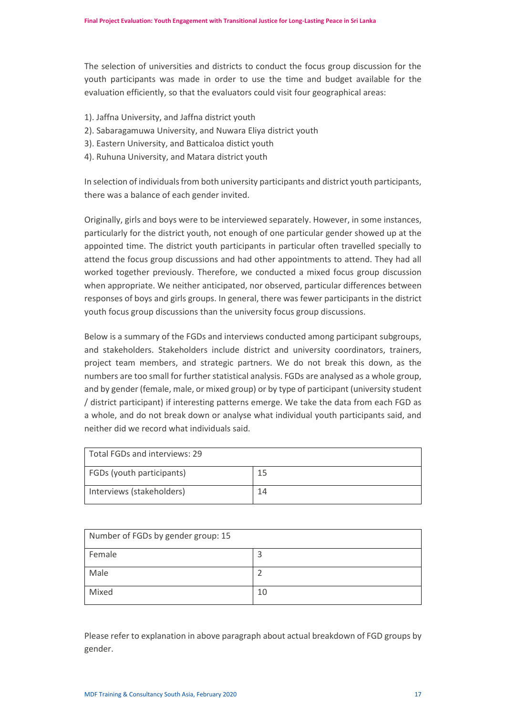The selection of universities and districts to conduct the focus group discussion for the youth participants was made in order to use the time and budget available for the evaluation efficiently, so that the evaluators could visit four geographical areas:

- 1). Jaffna University, and Jaffna district youth
- 2). Sabaragamuwa University, and Nuwara Eliya district youth
- 3). Eastern University, and Batticaloa distict youth
- 4). Ruhuna University, and Matara district youth

In selection of individuals from both university participants and district youth participants, there was a balance of each gender invited.

Originally, girls and boys were to be interviewed separately. However, in some instances, particularly for the district youth, not enough of one particular gender showed up at the appointed time. The district youth participants in particular often travelled specially to attend the focus group discussions and had other appointments to attend. They had all worked together previously. Therefore, we conducted a mixed focus group discussion when appropriate. We neither anticipated, nor observed, particular differences between responses of boys and girls groups. In general, there was fewer participants in the district youth focus group discussions than the university focus group discussions.

Below is a summary of the FGDs and interviews conducted among participant subgroups, and stakeholders. Stakeholders include district and university coordinators, trainers, project team members, and strategic partners. We do not break this down, as the numbers are too small for further statistical analysis. FGDs are analysed as a whole group, and by gender (female, male, or mixed group) or by type of participant (university student / district participant) if interesting patterns emerge. We take the data from each FGD as a whole, and do not break down or analyse what individual youth participants said, and neither did we record what individuals said.

| Total FGDs and interviews: 29    |    |  |  |  |
|----------------------------------|----|--|--|--|
| <b>FGDs (youth participants)</b> | 15 |  |  |  |
| Interviews (stakeholders)        | 14 |  |  |  |

| Number of FGDs by gender group: 15 |    |  |  |
|------------------------------------|----|--|--|
| Female                             |    |  |  |
| Male                               |    |  |  |
| Mixed                              | 10 |  |  |

Please refer to explanation in above paragraph about actual breakdown of FGD groups by gender.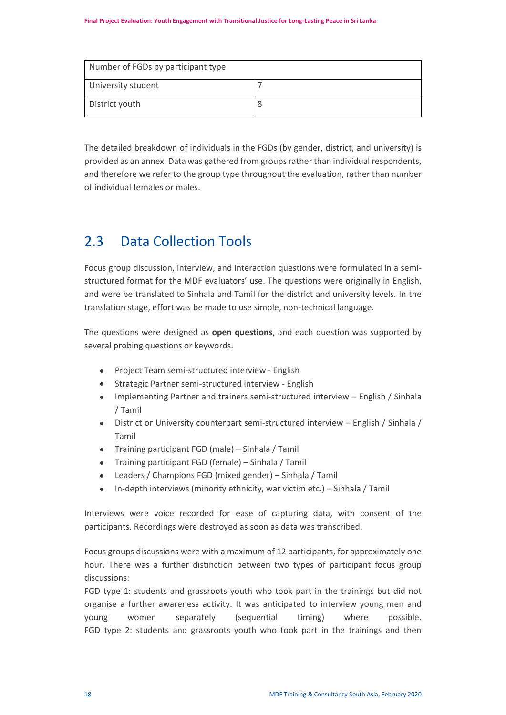| Number of FGDs by participant type |  |  |  |  |
|------------------------------------|--|--|--|--|
| University student                 |  |  |  |  |
| District youth                     |  |  |  |  |

The detailed breakdown of individuals in the FGDs (by gender, district, and university) is provided as an annex. Data was gathered from groups rather than individual respondents, and therefore we refer to the group type throughout the evaluation, rather than number of individual females or males.

# <span id="page-19-0"></span>2.3 Data Collection Tools

Focus group discussion, interview, and interaction questions were formulated in a semistructured format for the MDF evaluators' use. The questions were originally in English, and were be translated to Sinhala and Tamil for the district and university levels. In the translation stage, effort was be made to use simple, non-technical language.

The questions were designed as **open questions**, and each question was supported by several probing questions or keywords.

- Project Team semi-structured interview English
- Strategic Partner semi-structured interview English
- Implementing Partner and trainers semi-structured interview English / Sinhala / Tamil
- District or University counterpart semi-structured interview English / Sinhala / Tamil
- Training participant FGD (male) Sinhala / Tamil
- Training participant FGD (female) Sinhala / Tamil
- Leaders / Champions FGD (mixed gender) Sinhala / Tamil
- In-depth interviews (minority ethnicity, war victim etc.) Sinhala / Tamil

Interviews were voice recorded for ease of capturing data, with consent of the participants. Recordings were destroyed as soon as data was transcribed.

Focus groups discussions were with a maximum of 12 participants, for approximately one hour. There was a further distinction between two types of participant focus group discussions:

FGD type 1: students and grassroots youth who took part in the trainings but did not organise a further awareness activity. It was anticipated to interview young men and young women separately (sequential timing) where possible. FGD type 2: students and grassroots youth who took part in the trainings and then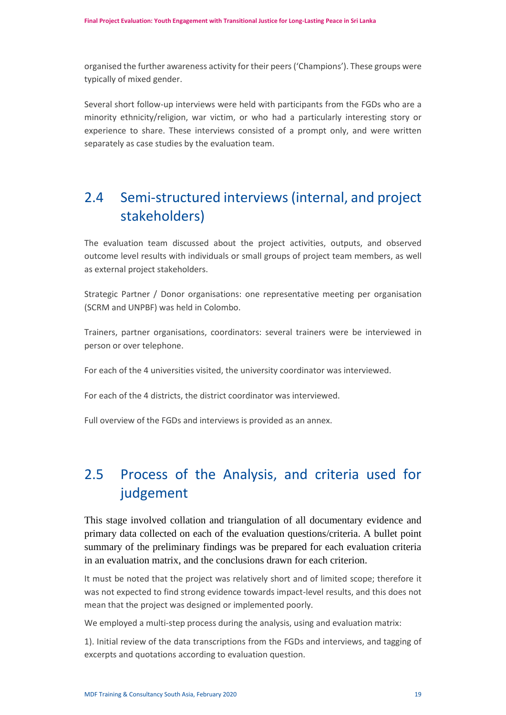organised the further awareness activity for their peers ('Champions'). These groups were typically of mixed gender.

Several short follow-up interviews were held with participants from the FGDs who are a minority ethnicity/religion, war victim, or who had a particularly interesting story or experience to share. These interviews consisted of a prompt only, and were written separately as case studies by the evaluation team.

# <span id="page-20-0"></span>2.4 Semi-structured interviews (internal, and project stakeholders)

The evaluation team discussed about the project activities, outputs, and observed outcome level results with individuals or small groups of project team members, as well as external project stakeholders.

Strategic Partner / Donor organisations: one representative meeting per organisation (SCRM and UNPBF) was held in Colombo.

Trainers, partner organisations, coordinators: several trainers were be interviewed in person or over telephone.

For each of the 4 universities visited, the university coordinator was interviewed.

For each of the 4 districts, the district coordinator was interviewed.

Full overview of the FGDs and interviews is provided as an annex.

# <span id="page-20-1"></span>2.5 Process of the Analysis, and criteria used for judgement

This stage involved collation and triangulation of all documentary evidence and primary data collected on each of the evaluation questions/criteria. A bullet point summary of the preliminary findings was be prepared for each evaluation criteria in an evaluation matrix, and the conclusions drawn for each criterion.

It must be noted that the project was relatively short and of limited scope; therefore it was not expected to find strong evidence towards impact-level results, and this does not mean that the project was designed or implemented poorly.

We employed a multi-step process during the analysis, using and evaluation matrix:

1). Initial review of the data transcriptions from the FGDs and interviews, and tagging of excerpts and quotations according to evaluation question.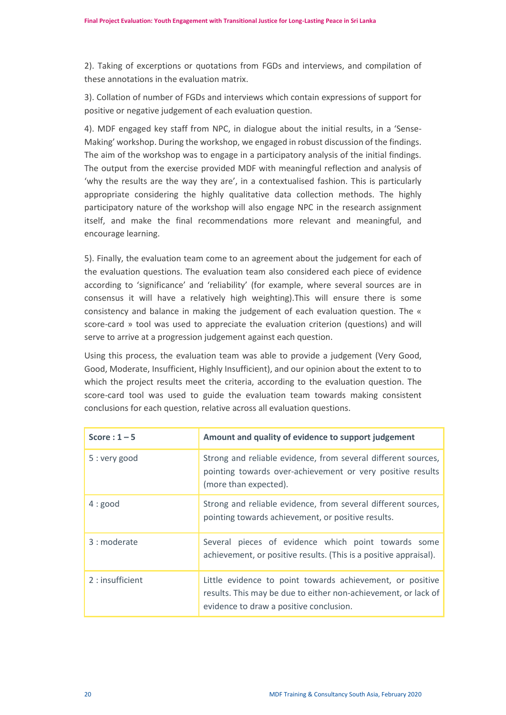2). Taking of excerptions or quotations from FGDs and interviews, and compilation of these annotations in the evaluation matrix.

3). Collation of number of FGDs and interviews which contain expressions of support for positive or negative judgement of each evaluation question.

4). MDF engaged key staff from NPC, in dialogue about the initial results, in a 'Sense-Making' workshop. During the workshop, we engaged in robust discussion of the findings. The aim of the workshop was to engage in a participatory analysis of the initial findings. The output from the exercise provided MDF with meaningful reflection and analysis of 'why the results are the way they are', in a contextualised fashion. This is particularly appropriate considering the highly qualitative data collection methods. The highly participatory nature of the workshop will also engage NPC in the research assignment itself, and make the final recommendations more relevant and meaningful, and encourage learning.

5). Finally, the evaluation team come to an agreement about the judgement for each of the evaluation questions. The evaluation team also considered each piece of evidence according to 'significance' and 'reliability' (for example, where several sources are in consensus it will have a relatively high weighting).This will ensure there is some consistency and balance in making the judgement of each evaluation question. The « score-card » tool was used to appreciate the evaluation criterion (questions) and will serve to arrive at a progression judgement against each question.

Using this process, the evaluation team was able to provide a judgement (Very Good, Good, Moderate, Insufficient, Highly Insufficient), and our opinion about the extent to to which the project results meet the criteria, according to the evaluation question. The score-card tool was used to guide the evaluation team towards making consistent conclusions for each question, relative across all evaluation questions.

| Score: $1 - 5$  | Amount and quality of evidence to support judgement                                                                                                                    |
|-----------------|------------------------------------------------------------------------------------------------------------------------------------------------------------------------|
| 5 : very good   | Strong and reliable evidence, from several different sources,<br>pointing towards over-achievement or very positive results<br>(more than expected).                   |
| 4:good          | Strong and reliable evidence, from several different sources,<br>pointing towards achievement, or positive results.                                                    |
| 3 : moderate    | Several pieces of evidence which point towards some<br>achievement, or positive results. (This is a positive appraisal).                                               |
| 2: insufficient | Little evidence to point towards achievement, or positive<br>results. This may be due to either non-achievement, or lack of<br>evidence to draw a positive conclusion. |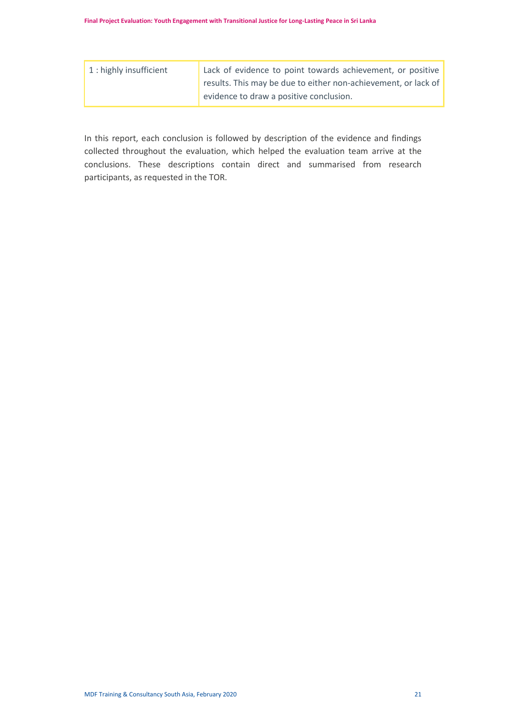| 1 : highly insufficient | Lack of evidence to point towards achievement, or positive     |
|-------------------------|----------------------------------------------------------------|
|                         | results. This may be due to either non-achievement, or lack of |
|                         | evidence to draw a positive conclusion.                        |

In this report, each conclusion is followed by description of the evidence and findings collected throughout the evaluation, which helped the evaluation team arrive at the conclusions. These descriptions contain direct and summarised from research participants, as requested in the TOR.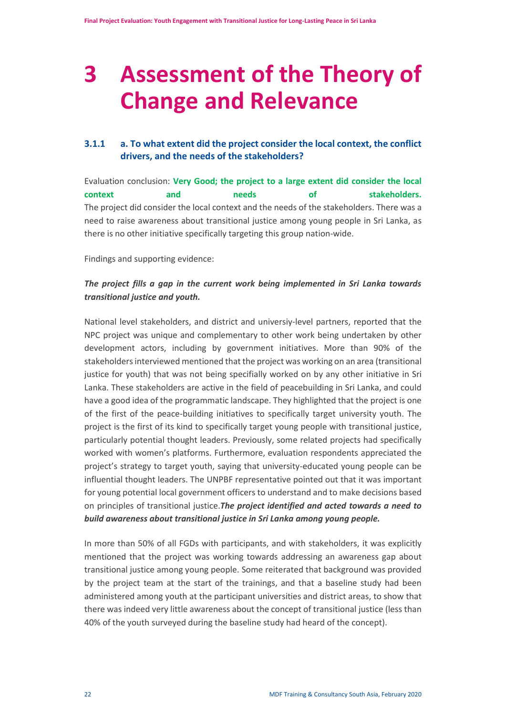# <span id="page-23-0"></span>**3 Assessment of the Theory of Change and Relevance**

# **3.1.1 a. To what extent did the project consider the local context, the conflict drivers, and the needs of the stakeholders?**

Evaluation conclusion: **Very Good; the project to a large extent did consider the local context and needs of stakeholders.** The project did consider the local context and the needs of the stakeholders. There was a need to raise awareness about transitional justice among young people in Sri Lanka, as there is no other initiative specifically targeting this group nation-wide.

Findings and supporting evidence:

# *The project fills a gap in the current work being implemented in Sri Lanka towards transitional justice and youth.*

National level stakeholders, and district and universiy-level partners, reported that the NPC project was unique and complementary to other work being undertaken by other development actors, including by government initiatives. More than 90% of the stakeholders interviewed mentioned that the project was working on an area (transitional justice for youth) that was not being specifially worked on by any other initiative in Sri Lanka. These stakeholders are active in the field of peacebuilding in Sri Lanka, and could have a good idea of the programmatic landscape. They highlighted that the project is one of the first of the peace-building initiatives to specifically target university youth. The project is the first of its kind to specifically target young people with transitional justice, particularly potential thought leaders. Previously, some related projects had specifically worked with women's platforms. Furthermore, evaluation respondents appreciated the project's strategy to target youth, saying that university-educated young people can be influential thought leaders. The UNPBF representative pointed out that it was important for young potential local government officers to understand and to make decisions based on principles of transitional justice.*The project identified and acted towards a need to build awareness about transitional justice in Sri Lanka among young people.*

In more than 50% of all FGDs with participants, and with stakeholders, it was explicitly mentioned that the project was working towards addressing an awareness gap about transitional justice among young people. Some reiterated that background was provided by the project team at the start of the trainings, and that a baseline study had been administered among youth at the participant universities and district areas, to show that there was indeed very little awareness about the concept of transitional justice (less than 40% of the youth surveyed during the baseline study had heard of the concept).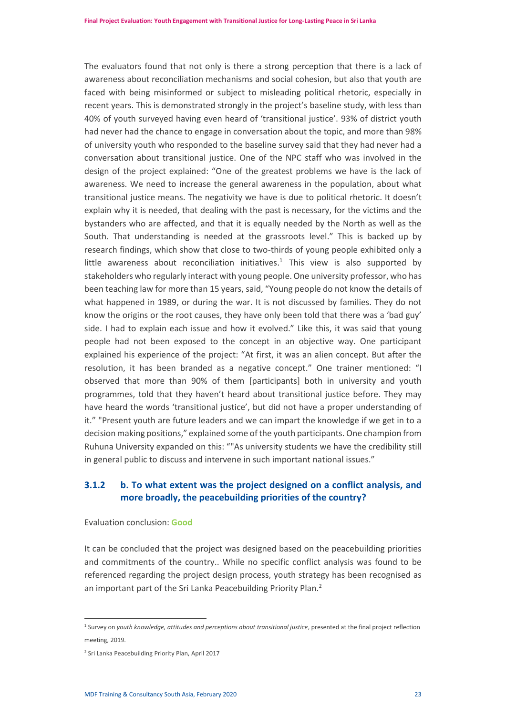The evaluators found that not only is there a strong perception that there is a lack of awareness about reconciliation mechanisms and social cohesion, but also that youth are faced with being misinformed or subject to misleading political rhetoric, especially in recent years. This is demonstrated strongly in the project's baseline study, with less than 40% of youth surveyed having even heard of 'transitional justice'. 93% of district youth had never had the chance to engage in conversation about the topic, and more than 98% of university youth who responded to the baseline survey said that they had never had a conversation about transitional justice. One of the NPC staff who was involved in the design of the project explained: "One of the greatest problems we have is the lack of awareness. We need to increase the general awareness in the population, about what transitional justice means. The negativity we have is due to political rhetoric. It doesn't explain why it is needed, that dealing with the past is necessary, for the victims and the bystanders who are affected, and that it is equally needed by the North as well as the South. That understanding is needed at the grassroots level." This is backed up by research findings, which show that close to two-thirds of young people exhibited only a little awareness about reconciliation initiatives. 1 This view is also supported by stakeholders who regularly interact with young people. One university professor, who has been teaching law for more than 15 years, said, "Young people do not know the details of what happened in 1989, or during the war. It is not discussed by families. They do not know the origins or the root causes, they have only been told that there was a 'bad guy' side. I had to explain each issue and how it evolved." Like this, it was said that young people had not been exposed to the concept in an objective way. One participant explained his experience of the project: "At first, it was an alien concept. But after the resolution, it has been branded as a negative concept." One trainer mentioned: "I observed that more than 90% of them [participants] both in university and youth programmes, told that they haven't heard about transitional justice before. They may have heard the words 'transitional justice', but did not have a proper understanding of it." "Present youth are future leaders and we can impart the knowledge if we get in to a decision making positions," explained some of the youth participants. One champion from Ruhuna University expanded on this: ""As university students we have the credibility still in general public to discuss and intervene in such important national issues."

# **3.1.2 b. To what extent was the project designed on a conflict analysis, and more broadly, the peacebuilding priorities of the country?**

#### Evaluation conclusion: **Good**

It can be concluded that the project was designed based on the peacebuilding priorities and commitments of the country.. While no specific conflict analysis was found to be referenced regarding the project design process, youth strategy has been recognised as an important part of the Sri Lanka Peacebuilding Priority Plan.<sup>2</sup>

<sup>&</sup>lt;sup>1</sup> Survey on youth knowledge, attitudes and perceptions about transitional justice, presented at the final project reflection meeting, 2019.

<sup>2</sup> Sri Lanka Peacebuilding Priority Plan, April 2017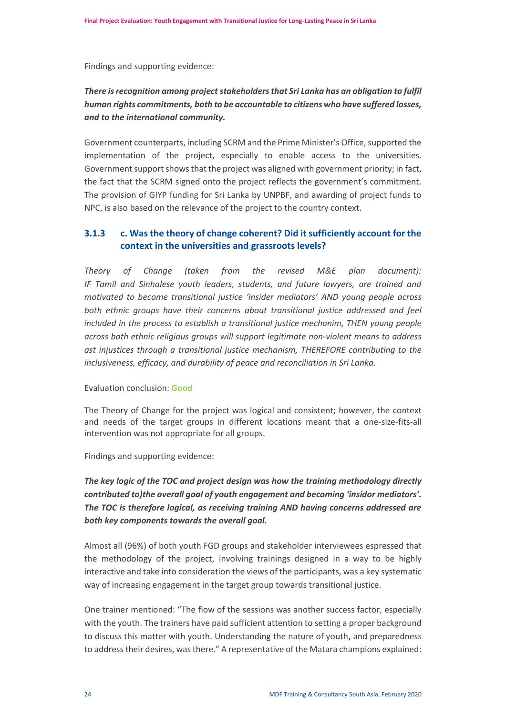Findings and supporting evidence:

# *There is recognition among project stakeholdersthat Sri Lanka has an obligation to fulfil human rights commitments, both to be accountable to citizens who have suffered losses, and to the international community.*

Government counterparts, including SCRM and the Prime Minister's Office, supported the implementation of the project, especially to enable access to the universities. Government support shows that the project was aligned with government priority; in fact, the fact that the SCRM signed onto the project reflects the government's commitment. The provision of GIYP funding for Sri Lanka by UNPBF, and awarding of project funds to NPC, is also based on the relevance of the project to the country context.

# **3.1.3 c. Was the theory of change coherent? Did it sufficiently account for the context in the universities and grassroots levels?**

*Theory of Change (taken from the revised M&E plan document): IF Tamil and Sinhalese youth leaders, students, and future lawyers, are trained and motivated to become transitional justice 'insider mediators' AND young people across* both ethnic groups have their concerns about transitional justice addressed and feel *included in the process to establish a transitional justice mechanim, THEN young people across both ethnic religious groups will support legitimate non-violent means to address ast injustices through a transitional justice mechanism, THEREFORE contributing to the inclusiveness, efficacy, and durability of peace and reconciliation in Sri Lanka.*

## Evaluation conclusion: **Good**

The Theory of Change for the project was logical and consistent; however, the context and needs of the target groups in different locations meant that a one-size-fits-all intervention was not appropriate for all groups.

Findings and supporting evidence:

*The key logic of the TOC and project design was how the training methodology directly contributed to)the overall goal of youth engagement and becoming 'insidor mediators'. The TOC is therefore logical, as receiving training AND having concerns addressed are both key components towards the overall goal.*

Almost all (96%) of both youth FGD groups and stakeholder interviewees espressed that the methodology of the project, involving trainings designed in a way to be highly interactive and take into consideration the views of the participants, was a key systematic way of increasing engagement in the target group towards transitional justice.

One trainer mentioned: "The flow of the sessions was another success factor, especially with the youth. The trainers have paid sufficient attention to setting a proper background to discuss this matter with youth. Understanding the nature of youth, and preparedness to address their desires, was there." A representative of the Matara champions explained: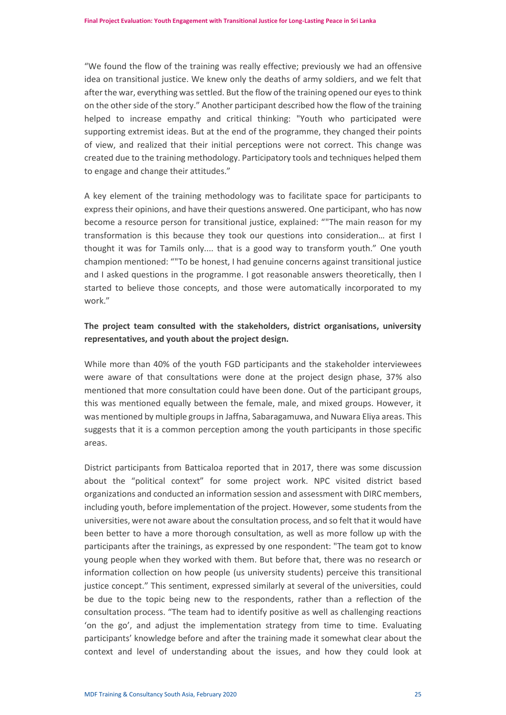"We found the flow of the training was really effective; previously we had an offensive idea on transitional justice. We knew only the deaths of army soldiers, and we felt that after the war, everything was settled. But the flow of the training opened our eyes to think on the other side of the story." Another participant described how the flow of the training helped to increase empathy and critical thinking: "Youth who participated were supporting extremist ideas. But at the end of the programme, they changed their points of view, and realized that their initial perceptions were not correct. This change was created due to the training methodology. Participatory tools and techniques helped them to engage and change their attitudes."

A key element of the training methodology was to facilitate space for participants to express their opinions, and have their questions answered. One participant, who has now become a resource person for transitional justice, explained: ""The main reason for my transformation is this because they took our questions into consideration… at first I thought it was for Tamils only.... that is a good way to transform youth." One youth champion mentioned: ""To be honest, I had genuine concerns against transitional justice and I asked questions in the programme. I got reasonable answers theoretically, then I started to believe those concepts, and those were automatically incorporated to my work."

# **The project team consulted with the stakeholders, district organisations, university representatives, and youth about the project design.**

While more than 40% of the youth FGD participants and the stakeholder interviewees were aware of that consultations were done at the project design phase, 37% also mentioned that more consultation could have been done. Out of the participant groups, this was mentioned equally between the female, male, and mixed groups. However, it was mentioned by multiple groups in Jaffna, Sabaragamuwa, and Nuwara Eliya areas. This suggests that it is a common perception among the youth participants in those specific areas.

District participants from Batticaloa reported that in 2017, there was some discussion about the "political context" for some project work. NPC visited district based organizations and conducted an information session and assessment with DIRC members, including youth, before implementation of the project. However, some students from the universities, were not aware about the consultation process, and so felt that it would have been better to have a more thorough consultation, as well as more follow up with the participants after the trainings, as expressed by one respondent: "The team got to know young people when they worked with them. But before that, there was no research or information collection on how people (us university students) perceive this transitional justice concept." This sentiment, expressed similarly at several of the universities, could be due to the topic being new to the respondents, rather than a reflection of the consultation process. "The team had to identify positive as well as challenging reactions 'on the go', and adjust the implementation strategy from time to time. Evaluating participants' knowledge before and after the training made it somewhat clear about the context and level of understanding about the issues, and how they could look at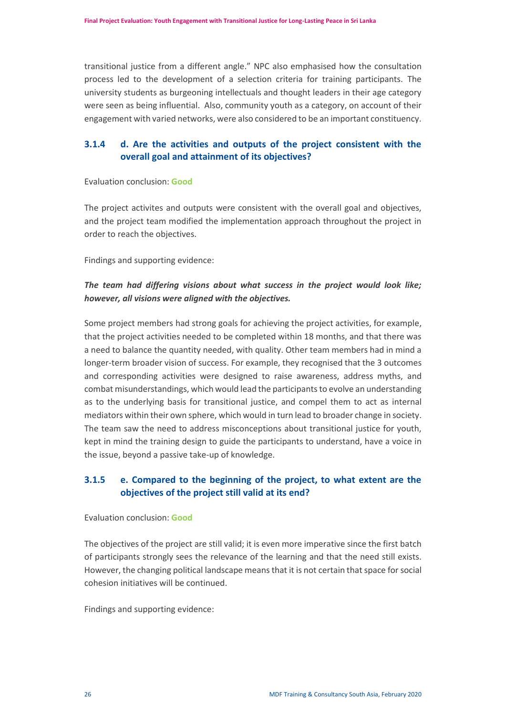transitional justice from a different angle." NPC also emphasised how the consultation process led to the development of a selection criteria for training participants. The university students as burgeoning intellectuals and thought leaders in their age category were seen as being influential. Also, community youth as a category, on account of their engagement with varied networks, were also considered to be an important constituency.

# **3.1.4 d. Are the activities and outputs of the project consistent with the overall goal and attainment of its objectives?**

#### Evaluation conclusion: **Good**

The project activites and outputs were consistent with the overall goal and objectives, and the project team modified the implementation approach throughout the project in order to reach the objectives.

Findings and supporting evidence:

# *The team had differing visions about what success in the project would look like; however, all visions were aligned with the objectives.*

Some project members had strong goals for achieving the project activities, for example, that the project activities needed to be completed within 18 months, and that there was a need to balance the quantity needed, with quality. Other team members had in mind a longer-term broader vision of success. For example, they recognised that the 3 outcomes and corresponding activities were designed to raise awareness, address myths, and combat misunderstandings, which would lead the participants to evolve an understanding as to the underlying basis for transitional justice, and compel them to act as internal mediators within their own sphere, which would in turn lead to broader change in society. The team saw the need to address misconceptions about transitional justice for youth, kept in mind the training design to guide the participants to understand, have a voice in the issue, beyond a passive take-up of knowledge.

# **3.1.5 e. Compared to the beginning of the project, to what extent are the objectives of the project still valid at its end?**

#### Evaluation conclusion: **Good**

The objectives of the project are still valid; it is even more imperative since the first batch of participants strongly sees the relevance of the learning and that the need still exists. However, the changing political landscape means that it is not certain that space for social cohesion initiatives will be continued.

Findings and supporting evidence: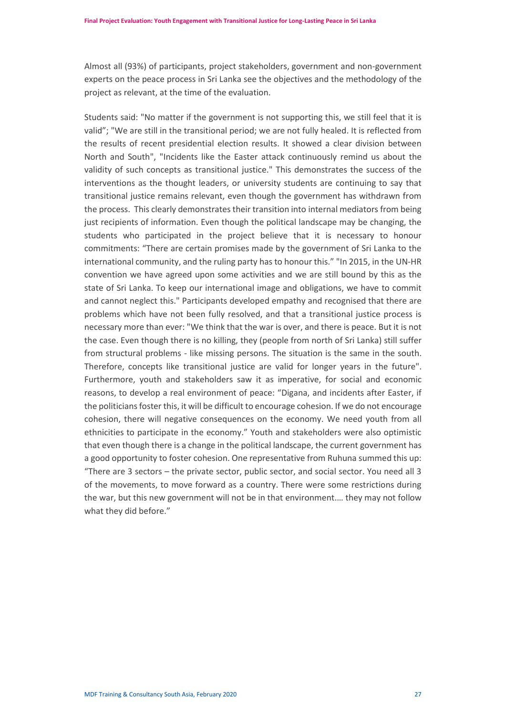Almost all (93%) of participants, project stakeholders, government and non-government experts on the peace process in Sri Lanka see the objectives and the methodology of the project as relevant, at the time of the evaluation.

Students said: "No matter if the government is not supporting this, we still feel that it is valid"; "We are still in the transitional period; we are not fully healed. It is reflected from the results of recent presidential election results. It showed a clear division between North and South", "Incidents like the Easter attack continuously remind us about the validity of such concepts as transitional justice." This demonstrates the success of the interventions as the thought leaders, or university students are continuing to say that transitional justice remains relevant, even though the government has withdrawn from the process. This clearly demonstrates their transition into internal mediators from being just recipients of information. Even though the political landscape may be changing, the students who participated in the project believe that it is necessary to honour commitments: "There are certain promises made by the government of Sri Lanka to the international community, and the ruling party has to honour this." "In 2015, in the UN-HR convention we have agreed upon some activities and we are still bound by this as the state of Sri Lanka. To keep our international image and obligations, we have to commit and cannot neglect this." Participants developed empathy and recognised that there are problems which have not been fully resolved, and that a transitional justice process is necessary more than ever: "We think that the war is over, and there is peace. But it is not the case. Even though there is no killing, they (people from north of Sri Lanka) still suffer from structural problems - like missing persons. The situation is the same in the south. Therefore, concepts like transitional justice are valid for longer years in the future". Furthermore, youth and stakeholders saw it as imperative, for social and economic reasons, to develop a real environment of peace: "Digana, and incidents after Easter, if the politicians foster this, it will be difficult to encourage cohesion. If we do not encourage cohesion, there will negative consequences on the economy. We need youth from all ethnicities to participate in the economy." Youth and stakeholders were also optimistic that even though there is a change in the political landscape, the current government has a good opportunity to foster cohesion. One representative from Ruhuna summed this up: "There are 3 sectors – the private sector, public sector, and social sector. You need all 3 of the movements, to move forward as a country. There were some restrictions during the war, but this new government will not be in that environment.… they may not follow what they did before."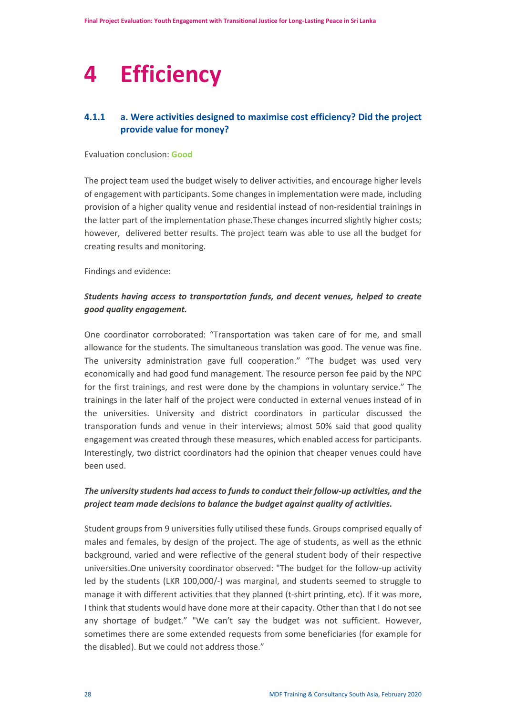# <span id="page-29-0"></span>**4 Efficiency**

# **4.1.1 a. Were activities designed to maximise cost efficiency? Did the project provide value for money?**

#### Evaluation conclusion: **Good**

The project team used the budget wisely to deliver activities, and encourage higher levels of engagement with participants. Some changes in implementation were made, including provision of a higher quality venue and residential instead of non-residential trainings in the latter part of the implementation phase.These changes incurred slightly higher costs; however, delivered better results. The project team was able to use all the budget for creating results and monitoring.

Findings and evidence:

# *Students having access to transportation funds, and decent venues, helped to create good quality engagement.*

One coordinator corroborated: "Transportation was taken care of for me, and small allowance for the students. The simultaneous translation was good. The venue was fine. The university administration gave full cooperation." "The budget was used very economically and had good fund management. The resource person fee paid by the NPC for the first trainings, and rest were done by the champions in voluntary service." The trainings in the later half of the project were conducted in external venues instead of in the universities. University and district coordinators in particular discussed the transporation funds and venue in their interviews; almost 50% said that good quality engagement was created through these measures, which enabled access for participants. Interestingly, two district coordinators had the opinion that cheaper venues could have been used.

# *The university students had access to funds to conduct their follow-up activities, and the project team made decisions to balance the budget against quality of activities.*

Student groups from 9 universities fully utilised these funds. Groups comprised equally of males and females, by design of the project. The age of students, as well as the ethnic background, varied and were reflective of the general student body of their respective universities.One university coordinator observed: "The budget for the follow-up activity led by the students (LKR 100,000/-) was marginal, and students seemed to struggle to manage it with different activities that they planned (t-shirt printing, etc). If it was more, I think that students would have done more at their capacity. Other than that I do not see any shortage of budget." "We can't say the budget was not sufficient. However, sometimes there are some extended requests from some beneficiaries (for example for the disabled). But we could not address those."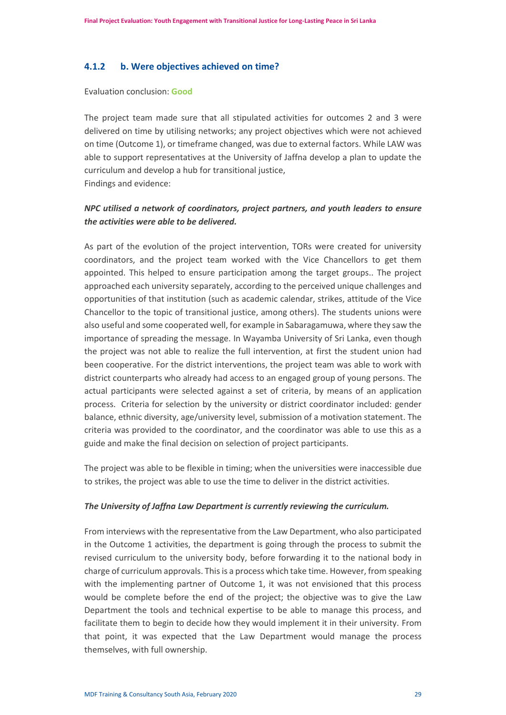#### **4.1.2 b. Were objectives achieved on time?**

Evaluation conclusion: **Good**

The project team made sure that all stipulated activities for outcomes 2 and 3 were delivered on time by utilising networks; any project objectives which were not achieved on time (Outcome 1), or timeframe changed, was due to external factors. While LAW was able to support representatives at the University of Jaffna develop a plan to update the curriculum and develop a hub for transitional justice, Findings and evidence:

# *NPC utilised a network of coordinators, project partners, and youth leaders to ensure the activities were able to be delivered.*

As part of the evolution of the project intervention, TORs were created for university coordinators, and the project team worked with the Vice Chancellors to get them appointed. This helped to ensure participation among the target groups.. The project approached each university separately, according to the perceived unique challenges and opportunities of that institution (such as academic calendar, strikes, attitude of the Vice Chancellor to the topic of transitional justice, among others). The students unions were also useful and some cooperated well, for example in Sabaragamuwa, where they saw the importance of spreading the message. In Wayamba University of Sri Lanka, even though the project was not able to realize the full intervention, at first the student union had been cooperative. For the district interventions, the project team was able to work with district counterparts who already had access to an engaged group of young persons. The actual participants were selected against a set of criteria, by means of an application process. Criteria for selection by the university or district coordinator included: gender balance, ethnic diversity, age/university level, submission of a motivation statement. The criteria was provided to the coordinator, and the coordinator was able to use this as a guide and make the final decision on selection of project participants.

The project was able to be flexible in timing; when the universities were inaccessible due to strikes, the project was able to use the time to deliver in the district activities.

#### *The University of Jaffna Law Department is currently reviewing the curriculum.*

From interviews with the representative from the Law Department, who also participated in the Outcome 1 activities, the department is going through the process to submit the revised curriculum to the university body, before forwarding it to the national body in charge of curriculum approvals. This is a process which take time. However, from speaking with the implementing partner of Outcome 1, it was not envisioned that this process would be complete before the end of the project; the objective was to give the Law Department the tools and technical expertise to be able to manage this process, and facilitate them to begin to decide how they would implement it in their university. From that point, it was expected that the Law Department would manage the process themselves, with full ownership.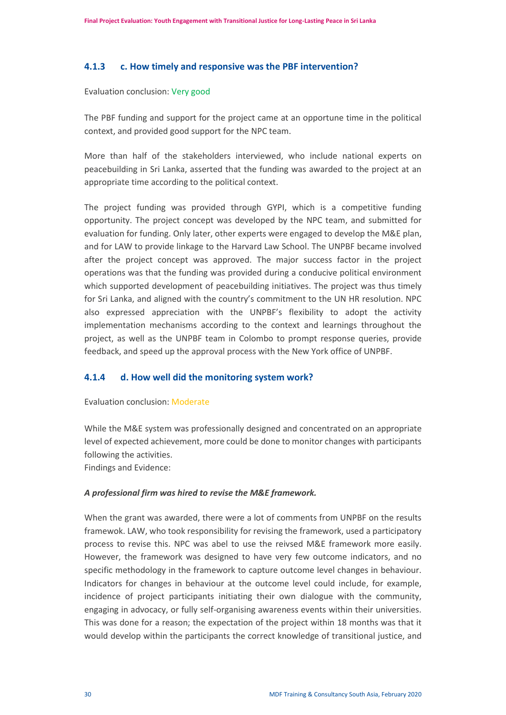#### **4.1.3 c. How timely and responsive was the PBF intervention?**

#### Evaluation conclusion: Very good

The PBF funding and support for the project came at an opportune time in the political context, and provided good support for the NPC team.

More than half of the stakeholders interviewed, who include national experts on peacebuilding in Sri Lanka, asserted that the funding was awarded to the project at an appropriate time according to the political context.

The project funding was provided through GYPI, which is a competitive funding opportunity. The project concept was developed by the NPC team, and submitted for evaluation for funding. Only later, other experts were engaged to develop the M&E plan, and for LAW to provide linkage to the Harvard Law School. The UNPBF became involved after the project concept was approved. The major success factor in the project operations was that the funding was provided during a conducive political environment which supported development of peacebuilding initiatives. The project was thus timely for Sri Lanka, and aligned with the country's commitment to the UN HR resolution. NPC also expressed appreciation with the UNPBF's flexibility to adopt the activity implementation mechanisms according to the context and learnings throughout the project, as well as the UNPBF team in Colombo to prompt response queries, provide feedback, and speed up the approval process with the New York office of UNPBF.

#### **4.1.4 d. How well did the monitoring system work?**

#### Evaluation conclusion: Moderate

While the M&E system was professionally designed and concentrated on an appropriate level of expected achievement, more could be done to monitor changes with participants following the activities.

Findings and Evidence:

#### *A professional firm was hired to revise the M&E framework.*

When the grant was awarded, there were a lot of comments from UNPBF on the results framewok. LAW, who took responsibility for revising the framework, used a participatory process to revise this. NPC was abel to use the reivsed M&E framework more easily. However, the framework was designed to have very few outcome indicators, and no specific methodology in the framework to capture outcome level changes in behaviour. Indicators for changes in behaviour at the outcome level could include, for example, incidence of project participants initiating their own dialogue with the community, engaging in advocacy, or fully self-organising awareness events within their universities. This was done for a reason; the expectation of the project within 18 months was that it would develop within the participants the correct knowledge of transitional justice, and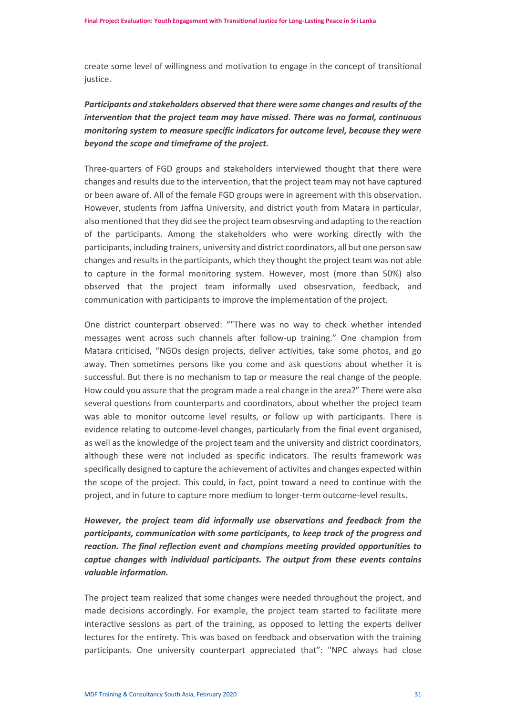create some level of willingness and motivation to engage in the concept of transitional justice.

# *Participants and stakeholders observed that there were some changes and results of the intervention that the project team may have missed*. *There was no formal, continuous monitoring system to measure specific indicators for outcome level, because they were beyond the scope and timeframe of the project.*

Three-quarters of FGD groups and stakeholders interviewed thought that there were changes and results due to the intervention, that the project team may not have captured or been aware of. All of the female FGD groups were in agreement with this observation. However, students from Jaffna University, and district youth from Matara in particular, also mentioned that they did see the project team obsesrving and adapting to the reaction of the participants. Among the stakeholders who were working directly with the participants, including trainers, university and district coordinators, all but one person saw changes and results in the participants, which they thought the project team was not able to capture in the formal monitoring system. However, most (more than 50%) also observed that the project team informally used obsesrvation, feedback, and communication with participants to improve the implementation of the project.

One district counterpart observed: ""There was no way to check whether intended messages went across such channels after follow-up training." One champion from Matara criticised, "NGOs design projects, deliver activities, take some photos, and go away. Then sometimes persons like you come and ask questions about whether it is successful. But there is no mechanism to tap or measure the real change of the people. How could you assure that the program made a real change in the area?" There were also several questions from counterparts and coordinators, about whether the project team was able to monitor outcome level results, or follow up with participants. There is evidence relating to outcome-level changes, particularly from the final event organised, as well as the knowledge of the project team and the university and district coordinators, although these were not included as specific indicators. The results framework was specifically designed to capture the achievement of activites and changes expected within the scope of the project. This could, in fact, point toward a need to continue with the project, and in future to capture more medium to longer-term outcome-level results.

# *However, the project team did informally use observations and feedback from the participants, communication with some participants, to keep track of the progress and reaction. The final reflection event and champions meeting provided opportunities to captue changes with individual participants. The output from these events contains valuable information.*

The project team realized that some changes were needed throughout the project, and made decisions accordingly. For example, the project team started to facilitate more interactive sessions as part of the training, as opposed to letting the experts deliver lectures for the entirety. This was based on feedback and observation with the training participants. One university counterpart appreciated that": "NPC always had close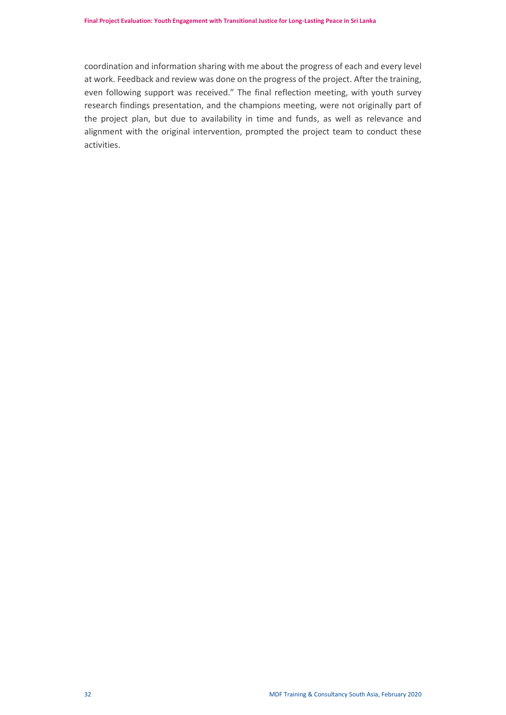coordination and information sharing with me about the progress of each and every level at work. Feedback and review was done on the progress of the project. After the training, even following support was received." The final reflection meeting, with youth survey research findings presentation, and the champions meeting, were not originally part of the project plan, but due to availability in time and funds, as well as relevance and alignment with the original intervention, prompted the project team to conduct these activities.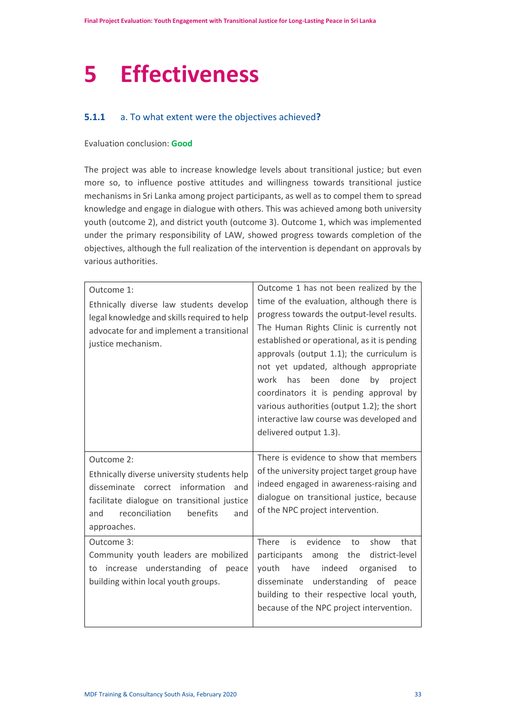# <span id="page-34-0"></span>**5 Effectiveness**

# **5.1.1** a. To what extent were the objectives achieved**?**

#### Evaluation conclusion: **Good**

The project was able to increase knowledge levels about transitional justice; but even more so, to influence postive attitudes and willingness towards transitional justice mechanisms in Sri Lanka among project participants, as well as to compel them to spread knowledge and engage in dialogue with others. This was achieved among both university youth (outcome 2), and district youth (outcome 3). Outcome 1, which was implemented under the primary responsibility of LAW, showed progress towards completion of the objectives, although the full realization of the intervention is dependant on approvals by various authorities.

| Outcome 1:<br>Ethnically diverse law students develop<br>legal knowledge and skills required to help<br>advocate for and implement a transitional<br>justice mechanism.                                       | Outcome 1 has not been realized by the<br>time of the evaluation, although there is<br>progress towards the output-level results.<br>The Human Rights Clinic is currently not<br>established or operational, as it is pending<br>approvals (output 1.1); the curriculum is<br>not yet updated, although appropriate<br>work<br>has<br>been<br>done<br>by<br>project<br>coordinators it is pending approval by<br>various authorities (output 1.2); the short<br>interactive law course was developed and |
|---------------------------------------------------------------------------------------------------------------------------------------------------------------------------------------------------------------|----------------------------------------------------------------------------------------------------------------------------------------------------------------------------------------------------------------------------------------------------------------------------------------------------------------------------------------------------------------------------------------------------------------------------------------------------------------------------------------------------------|
|                                                                                                                                                                                                               | delivered output 1.3).                                                                                                                                                                                                                                                                                                                                                                                                                                                                                   |
| Outcome 2:<br>Ethnically diverse university students help<br>disseminate correct information<br>and<br>facilitate dialogue on transitional justice<br>benefits<br>reconciliation<br>and<br>and<br>approaches. | There is evidence to show that members<br>of the university project target group have<br>indeed engaged in awareness-raising and<br>dialogue on transitional justice, because<br>of the NPC project intervention.                                                                                                                                                                                                                                                                                        |
| Outcome 3:<br>Community youth leaders are mobilized<br>increase understanding of peace<br>to<br>building within local youth groups.                                                                           | There<br>is<br>evidence<br>show<br>that<br>to<br>participants<br>among the<br>district-level<br>indeed<br>organised<br>youth<br>have<br>to<br>disseminate<br>understanding of peace<br>building to their respective local youth,<br>because of the NPC project intervention.                                                                                                                                                                                                                             |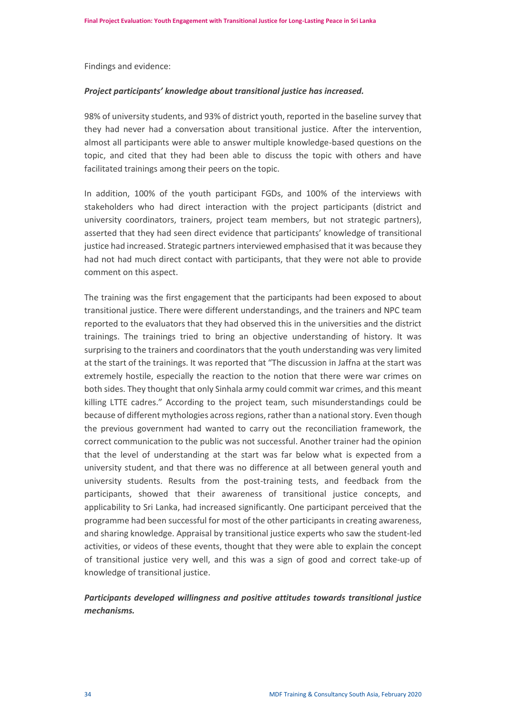Findings and evidence:

#### *Project participants' knowledge about transitional justice has increased.*

98% of university students, and 93% of district youth, reported in the baseline survey that they had never had a conversation about transitional justice. After the intervention, almost all participants were able to answer multiple knowledge-based questions on the topic, and cited that they had been able to discuss the topic with others and have facilitated trainings among their peers on the topic.

In addition, 100% of the youth participant FGDs, and 100% of the interviews with stakeholders who had direct interaction with the project participants (district and university coordinators, trainers, project team members, but not strategic partners), asserted that they had seen direct evidence that participants' knowledge of transitional justice had increased. Strategic partners interviewed emphasised that it was because they had not had much direct contact with participants, that they were not able to provide comment on this aspect.

The training was the first engagement that the participants had been exposed to about transitional justice. There were different understandings, and the trainers and NPC team reported to the evaluators that they had observed this in the universities and the district trainings. The trainings tried to bring an objective understanding of history. It was surprising to the trainers and coordinators that the youth understanding was very limited at the start of the trainings. It was reported that "The discussion in Jaffna at the start was extremely hostile, especially the reaction to the notion that there were war crimes on both sides. They thought that only Sinhala army could commit war crimes, and this meant killing LTTE cadres." According to the project team, such misunderstandings could be because of different mythologies across regions, rather than a national story. Even though the previous government had wanted to carry out the reconciliation framework, the correct communication to the public was not successful. Another trainer had the opinion that the level of understanding at the start was far below what is expected from a university student, and that there was no difference at all between general youth and university students. Results from the post-training tests, and feedback from the participants, showed that their awareness of transitional justice concepts, and applicability to Sri Lanka, had increased significantly. One participant perceived that the programme had been successful for most of the other participants in creating awareness, and sharing knowledge. Appraisal by transitional justice experts who saw the student-led activities, or videos of these events, thought that they were able to explain the concept of transitional justice very well, and this was a sign of good and correct take-up of knowledge of transitional justice.

# *Participants developed willingness and positive attitudes towards transitional justice mechanisms.*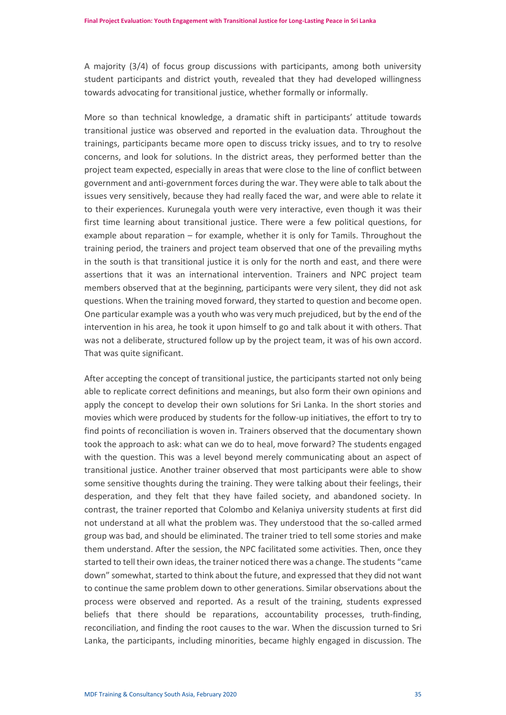A majority (3/4) of focus group discussions with participants, among both university student participants and district youth, revealed that they had developed willingness towards advocating for transitional justice, whether formally or informally.

More so than technical knowledge, a dramatic shift in participants' attitude towards transitional justice was observed and reported in the evaluation data. Throughout the trainings, participants became more open to discuss tricky issues, and to try to resolve concerns, and look for solutions. In the district areas, they performed better than the project team expected, especially in areas that were close to the line of conflict between government and anti-government forces during the war. They were able to talk about the issues very sensitively, because they had really faced the war, and were able to relate it to their experiences. Kurunegala youth were very interactive, even though it was their first time learning about transitional justice. There were a few political questions, for example about reparation – for example, whether it is only for Tamils. Throughout the training period, the trainers and project team observed that one of the prevailing myths in the south is that transitional justice it is only for the north and east, and there were assertions that it was an international intervention. Trainers and NPC project team members observed that at the beginning, participants were very silent, they did not ask questions. When the training moved forward, they started to question and become open. One particular example was a youth who was very much prejudiced, but by the end of the intervention in his area, he took it upon himself to go and talk about it with others. That was not a deliberate, structured follow up by the project team, it was of his own accord. That was quite significant.

After accepting the concept of transitional justice, the participants started not only being able to replicate correct definitions and meanings, but also form their own opinions and apply the concept to develop their own solutions for Sri Lanka. In the short stories and movies which were produced by students for the follow-up initiatives, the effort to try to find points of reconciliation is woven in. Trainers observed that the documentary shown took the approach to ask: what can we do to heal, move forward? The students engaged with the question. This was a level beyond merely communicating about an aspect of transitional justice. Another trainer observed that most participants were able to show some sensitive thoughts during the training. They were talking about their feelings, their desperation, and they felt that they have failed society, and abandoned society. In contrast, the trainer reported that Colombo and Kelaniya university students at first did not understand at all what the problem was. They understood that the so-called armed group was bad, and should be eliminated. The trainer tried to tell some stories and make them understand. After the session, the NPC facilitated some activities. Then, once they started to tell their own ideas, the trainer noticed there was a change. The students "came down" somewhat, started to think about the future, and expressed that they did not want to continue the same problem down to other generations. Similar observations about the process were observed and reported. As a result of the training, students expressed beliefs that there should be reparations, accountability processes, truth-finding, reconciliation, and finding the root causes to the war. When the discussion turned to Sri Lanka, the participants, including minorities, became highly engaged in discussion. The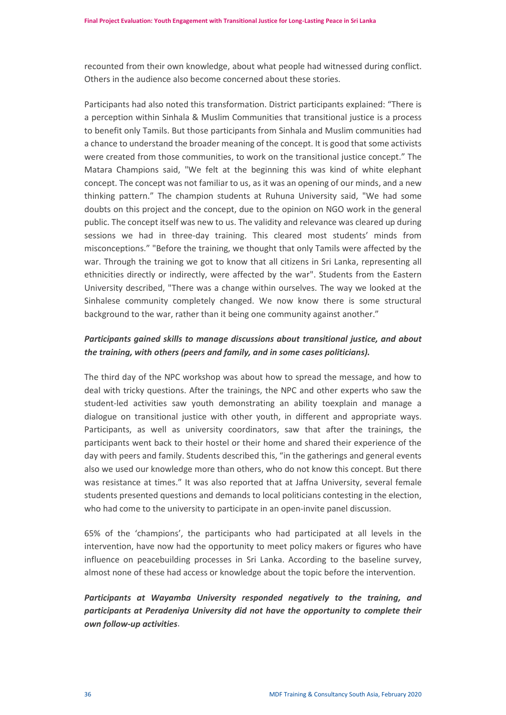recounted from their own knowledge, about what people had witnessed during conflict. Others in the audience also become concerned about these stories.

Participants had also noted this transformation. District participants explained: "There is a perception within Sinhala & Muslim Communities that transitional justice is a process to benefit only Tamils. But those participants from Sinhala and Muslim communities had a chance to understand the broader meaning of the concept. It is good that some activists were created from those communities, to work on the transitional justice concept." The Matara Champions said, "We felt at the beginning this was kind of white elephant concept. The concept was not familiar to us, as it was an opening of our minds, and a new thinking pattern." The champion students at Ruhuna University said, "We had some doubts on this project and the concept, due to the opinion on NGO work in the general public. The concept itself was new to us. The validity and relevance was cleared up during sessions we had in three-day training. This cleared most students' minds from misconceptions." "Before the training, we thought that only Tamils were affected by the war. Through the training we got to know that all citizens in Sri Lanka, representing all ethnicities directly or indirectly, were affected by the war". Students from the Eastern University described, "There was a change within ourselves. The way we looked at the Sinhalese community completely changed. We now know there is some structural background to the war, rather than it being one community against another."

# *Participants gained skills to manage discussions about transitional justice, and about the training, with others (peers and family, and in some cases politicians).*

The third day of the NPC workshop was about how to spread the message, and how to deal with tricky questions. After the trainings, the NPC and other experts who saw the student-led activities saw youth demonstrating an ability toexplain and manage a dialogue on transitional justice with other youth, in different and appropriate ways. Participants, as well as university coordinators, saw that after the trainings, the participants went back to their hostel or their home and shared their experience of the day with peers and family. Students described this, "in the gatherings and general events also we used our knowledge more than others, who do not know this concept. But there was resistance at times." It was also reported that at Jaffna University, several female students presented questions and demands to local politicians contesting in the election, who had come to the university to participate in an open-invite panel discussion.

65% of the 'champions', the participants who had participated at all levels in the intervention, have now had the opportunity to meet policy makers or figures who have influence on peacebuilding processes in Sri Lanka. According to the baseline survey, almost none of these had access or knowledge about the topic before the intervention.

*Participants at Wayamba University responded negatively to the training, and participants at Peradeniya University did not have the opportunity to complete their own follow-up activities*.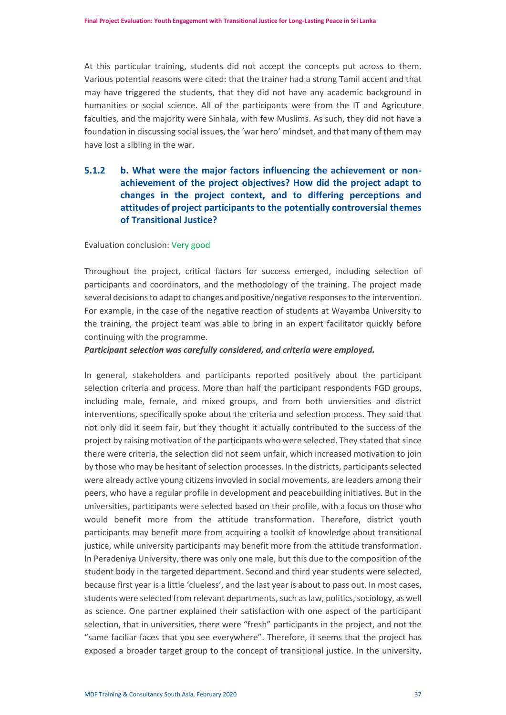At this particular training, students did not accept the concepts put across to them. Various potential reasons were cited: that the trainer had a strong Tamil accent and that may have triggered the students, that they did not have any academic background in humanities or social science. All of the participants were from the IT and Agricuture faculties, and the majority were Sinhala, with few Muslims. As such, they did not have a foundation in discussing social issues, the 'war hero' mindset, and that many of them may have lost a sibling in the war.

# **5.1.2 b. What were the major factors influencing the achievement or nonachievement of the project objectives? How did the project adapt to changes in the project context, and to differing perceptions and attitudes of project participants to the potentially controversial themes of Transitional Justice?**

#### Evaluation conclusion: Very good

Throughout the project, critical factors for success emerged, including selection of participants and coordinators, and the methodology of the training. The project made several decisions to adapt to changes and positive/negative responses to the intervention. For example, in the case of the negative reaction of students at Wayamba University to the training, the project team was able to bring in an expert facilitator quickly before continuing with the programme.

#### *Participant selection was carefully considered, and criteria were employed.*

In general, stakeholders and participants reported positively about the participant selection criteria and process. More than half the participant respondents FGD groups, including male, female, and mixed groups, and from both unviersities and district interventions, specifically spoke about the criteria and selection process. They said that not only did it seem fair, but they thought it actually contributed to the success of the project by raising motivation of the participants who were selected. They stated that since there were criteria, the selection did not seem unfair, which increased motivation to join by those who may be hesitant of selection processes. In the districts, participants selected were already active young citizens invovled in social movements, are leaders among their peers, who have a regular profile in development and peacebuilding initiatives. But in the universities, participants were selected based on their profile, with a focus on those who would benefit more from the attitude transformation. Therefore, district youth participants may benefit more from acquiring a toolkit of knowledge about transitional justice, while university participants may benefit more from the attitude transformation. In Peradeniya University, there was only one male, but this due to the composition of the student body in the targeted department. Second and third year students were selected, because first year is a little 'clueless', and the last year is about to pass out. In most cases, students were selected from relevant departments, such as law, politics, sociology, as well as science. One partner explained their satisfaction with one aspect of the participant selection, that in universities, there were "fresh" participants in the project, and not the "same faciliar faces that you see everywhere". Therefore, it seems that the project has exposed a broader target group to the concept of transitional justice. In the university,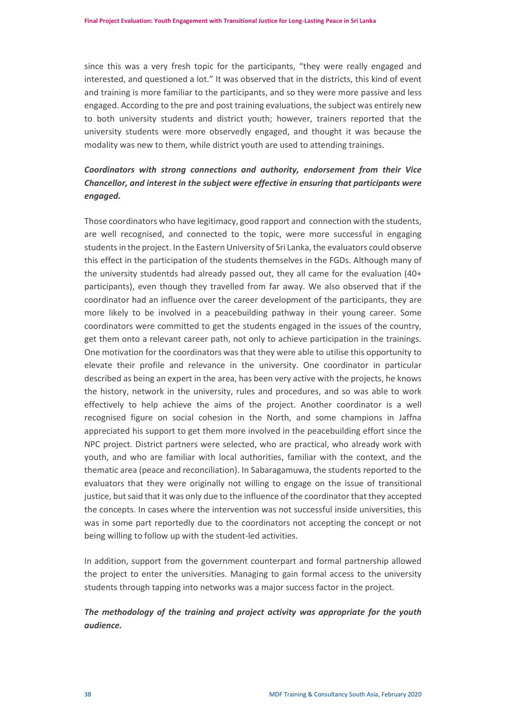since this was a very fresh topic for the participants, "they were really engaged and interested, and questioned a lot." It was observed that in the districts, this kind of event and training is more familiar to the participants, and so they were more passive and less engaged. According to the pre and post training evaluations, the subject was entirely new to both university students and district youth; however, trainers reported that the university students were more observedly engaged, and thought it was because the modality was new to them, while district youth are used to attending trainings.

# *Coordinators with strong connections and authority, endorsement from their Vice Chancellor, and interest in the subject were effective in ensuring that participants were engaged.*

Those coordinators who have legitimacy, good rapport and connection with the students, are well recognised, and connected to the topic, were more successful in engaging studentsin the project. In the Eastern University of Sri Lanka, the evaluators could observe this effect in the participation of the students themselves in the FGDs. Although many of the university studentds had already passed out, they all came for the evaluation (40+ participants), even though they travelled from far away. We also observed that if the coordinator had an influence over the career development of the participants, they are more likely to be involved in a peacebuilding pathway in their young career. Some coordinators were committed to get the students engaged in the issues of the country, get them onto a relevant career path, not only to achieve participation in the trainings. One motivation for the coordinators was that they were able to utilise this opportunity to elevate their profile and relevance in the university. One coordinator in particular described as being an expert in the area, has been very active with the projects, he knows the history, network in the university, rules and procedures, and so was able to work effectively to help achieve the aims of the project. Another coordinator is a well recognised figure on social cohesion in the North, and some champions in Jaffna appreciated his support to get them more involved in the peacebuilding effort since the NPC project. District partners were selected, who are practical, who already work with youth, and who are familiar with local authorities, familiar with the context, and the thematic area (peace and reconciliation). In Sabaragamuwa, the students reported to the evaluators that they were originally not willing to engage on the issue of transitional justice, but said that it was only due to the influence of the coordinator that they accepted the concepts. In cases where the intervention was not successful inside universities, this was in some part reportedly due to the coordinators not accepting the concept or not being willing to follow up with the student-led activities.

In addition, support from the government counterpart and formal partnership allowed the project to enter the universities. Managing to gain formal access to the university students through tapping into networks was a major success factor in the project.

# *The methodology of the training and project activity was appropriate for the youth audience.*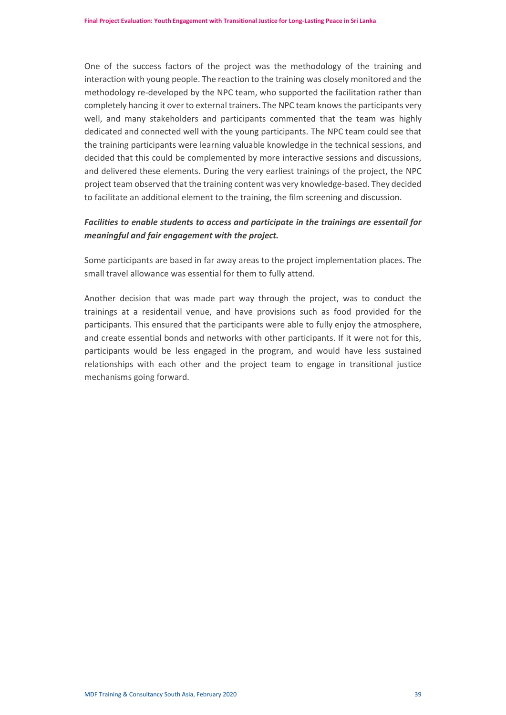One of the success factors of the project was the methodology of the training and interaction with young people. The reaction to the training was closely monitored and the methodology re-developed by the NPC team, who supported the facilitation rather than completely hancing it over to external trainers. The NPC team knows the participants very well, and many stakeholders and participants commented that the team was highly dedicated and connected well with the young participants. The NPC team could see that the training participants were learning valuable knowledge in the technical sessions, and decided that this could be complemented by more interactive sessions and discussions, and delivered these elements. During the very earliest trainings of the project, the NPC project team observed that the training content was very knowledge-based. They decided to facilitate an additional element to the training, the film screening and discussion.

# *Facilities to enable students to access and participate in the trainings are essentail for meaningful and fair engagement with the project.*

Some participants are based in far away areas to the project implementation places. The small travel allowance was essential for them to fully attend.

Another decision that was made part way through the project, was to conduct the trainings at a residentail venue, and have provisions such as food provided for the participants. This ensured that the participants were able to fully enjoy the atmosphere, and create essential bonds and networks with other participants. If it were not for this, participants would be less engaged in the program, and would have less sustained relationships with each other and the project team to engage in transitional justice mechanisms going forward.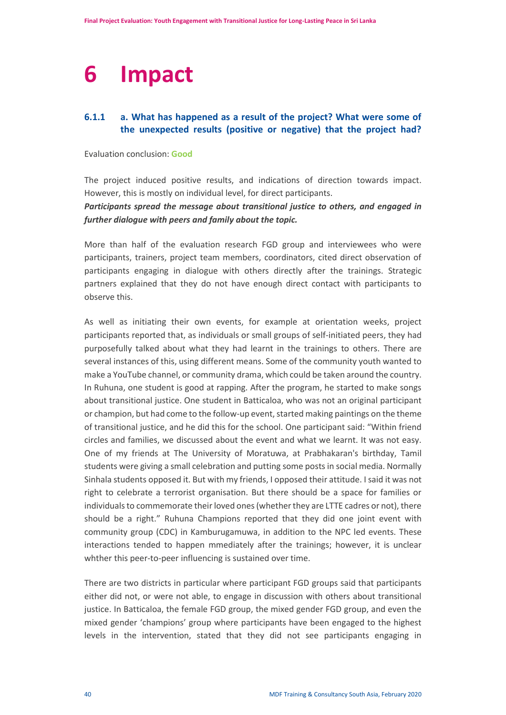# <span id="page-41-0"></span>**6 Impact**

# **6.1.1 a. What has happened as a result of the project? What were some of the unexpected results (positive or negative) that the project had?**

Evaluation conclusion: **Good**

The project induced positive results, and indications of direction towards impact. However, this is mostly on individual level, for direct participants.

# *Participants spread the message about transitional justice to others, and engaged in further dialogue with peers and family about the topic.*

More than half of the evaluation research FGD group and interviewees who were participants, trainers, project team members, coordinators, cited direct observation of participants engaging in dialogue with others directly after the trainings. Strategic partners explained that they do not have enough direct contact with participants to observe this.

As well as initiating their own events, for example at orientation weeks, project participants reported that, as individuals or small groups of self-initiated peers, they had purposefully talked about what they had learnt in the trainings to others. There are several instances of this, using different means. Some of the community youth wanted to make a YouTube channel, or community drama, which could be taken around the country. In Ruhuna, one student is good at rapping. After the program, he started to make songs about transitional justice. One student in Batticaloa, who was not an original participant or champion, but had come to the follow-up event, started making paintings on the theme of transitional justice, and he did this for the school. One participant said: "Within friend circles and families, we discussed about the event and what we learnt. It was not easy. One of my friends at The University of Moratuwa, at Prabhakaran's birthday, Tamil students were giving a small celebration and putting some posts in social media. Normally Sinhala students opposed it. But with my friends, I opposed their attitude. I said it was not right to celebrate a terrorist organisation. But there should be a space for families or individuals to commemorate their loved ones (whether they are LTTE cadres or not), there should be a right." Ruhuna Champions reported that they did one joint event with community group (CDC) in Kamburugamuwa, in addition to the NPC led events. These interactions tended to happen mmediately after the trainings; however, it is unclear whther this peer-to-peer influencing is sustained over time.

There are two districts in particular where participant FGD groups said that participants either did not, or were not able, to engage in discussion with others about transitional justice. In Batticaloa, the female FGD group, the mixed gender FGD group, and even the mixed gender 'champions' group where participants have been engaged to the highest levels in the intervention, stated that they did not see participants engaging in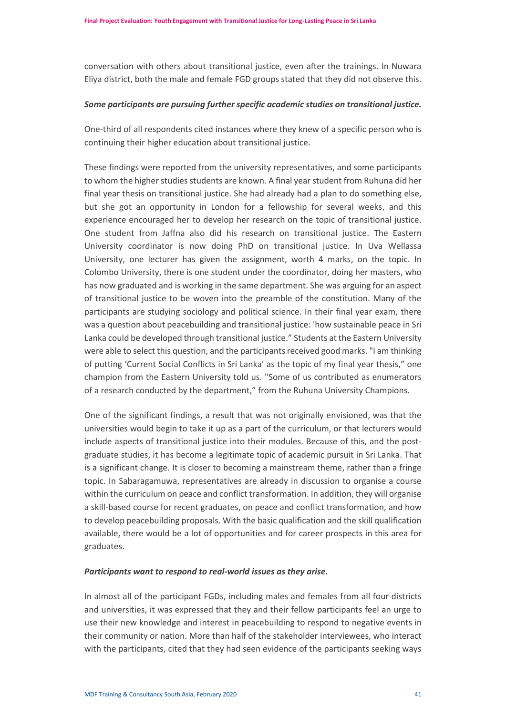conversation with others about transitional justice, even after the trainings. In Nuwara Eliya district, both the male and female FGD groups stated that they did not observe this.

#### *Some participants are pursuing further specific academic studies on transitional justice.*

One-third of all respondents cited instances where they knew of a specific person who is continuing their higher education about transitional justice.

These findings were reported from the university representatives, and some participants to whom the higher studies students are known. A final year student from Ruhuna did her final year thesis on transitional justice. She had already had a plan to do something else, but she got an opportunity in London for a fellowship for several weeks, and this experience encouraged her to develop her research on the topic of transitional justice. One student from Jaffna also did his research on transitional justice. The Eastern University coordinator is now doing PhD on transitional justice. In Uva Wellassa University, one lecturer has given the assignment, worth 4 marks, on the topic. In Colombo University, there is one student under the coordinator, doing her masters, who has now graduated and is working in the same department. She was arguing for an aspect of transitional justice to be woven into the preamble of the constitution. Many of the participants are studying sociology and political science. In their final year exam, there was a question about peacebuilding and transitional justice: 'how sustainable peace in Sri Lanka could be developed through transitional justice." Students at the Eastern University were able to select this question, and the participants received good marks. "I am thinking of putting 'Current Social Conflicts in Sri Lanka' as the topic of my final year thesis," one champion from the Eastern University told us. "Some of us contributed as enumerators of a research conducted by the department," from the Ruhuna University Champions.

One of the significant findings, a result that was not originally envisioned, was that the universities would begin to take it up as a part of the curriculum, or that lecturers would include aspects of transitional justice into their modules. Because of this, and the postgraduate studies, it has become a legitimate topic of academic pursuit in Sri Lanka. That is a significant change. It is closer to becoming a mainstream theme, rather than a fringe topic. In Sabaragamuwa, representatives are already in discussion to organise a course within the curriculum on peace and conflict transformation. In addition, they will organise a skill-based course for recent graduates, on peace and conflict transformation, and how to develop peacebuilding proposals. With the basic qualification and the skill qualification available, there would be a lot of opportunities and for career prospects in this area for graduates.

#### *Participants want to respond to real-world issues as they arise.*

In almost all of the participant FGDs, including males and females from all four districts and universities, it was expressed that they and their fellow participants feel an urge to use their new knowledge and interest in peacebuilding to respond to negative events in their community or nation. More than half of the stakeholder interviewees, who interact with the participants, cited that they had seen evidence of the participants seeking ways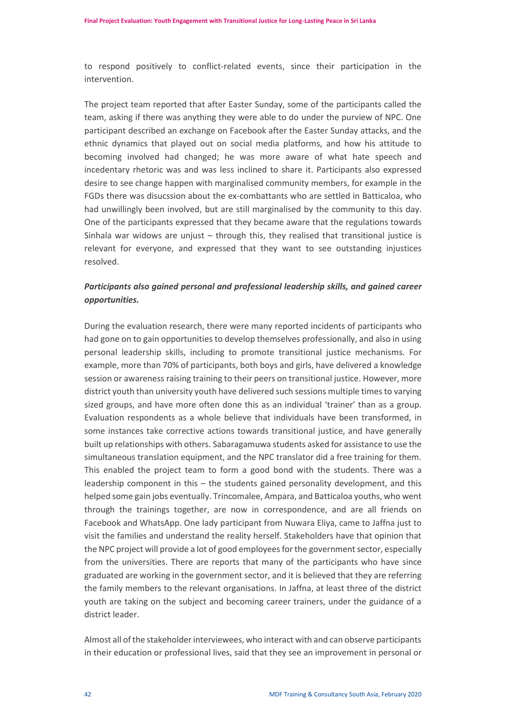to respond positively to conflict-related events, since their participation in the intervention.

The project team reported that after Easter Sunday, some of the participants called the team, asking if there was anything they were able to do under the purview of NPC. One participant described an exchange on Facebook after the Easter Sunday attacks, and the ethnic dynamics that played out on social media platforms, and how his attitude to becoming involved had changed; he was more aware of what hate speech and incedentary rhetoric was and was less inclined to share it. Participants also expressed desire to see change happen with marginalised community members, for example in the FGDs there was disucssion about the ex-combattants who are settled in Batticaloa, who had unwillingly been involved, but are still marginalised by the community to this day. One of the participants expressed that they became aware that the regulations towards Sinhala war widows are unjust – through this, they realised that transitional justice is relevant for everyone, and expressed that they want to see outstanding injustices resolved.

# *Participants also gained personal and professional leadership skills, and gained career opportunities.*

During the evaluation research, there were many reported incidents of participants who had gone on to gain opportunities to develop themselves professionally, and also in using personal leadership skills, including to promote transitional justice mechanisms. For example, more than 70% of participants, both boys and girls, have delivered a knowledge session or awareness raising training to their peers on transitional justice. However, more district youth than university youth have delivered such sessions multiple times to varying sized groups, and have more often done this as an individual 'trainer' than as a group. Evaluation respondents as a whole believe that individuals have been transformed, in some instances take corrective actions towards transitional justice, and have generally built up relationships with others. Sabaragamuwa students asked for assistance to use the simultaneous translation equipment, and the NPC translator did a free training for them. This enabled the project team to form a good bond with the students. There was a leadership component in this – the students gained personality development, and this helped some gain jobs eventually. Trincomalee, Ampara, and Batticaloa youths, who went through the trainings together, are now in correspondence, and are all friends on Facebook and WhatsApp. One lady participant from Nuwara Eliya, came to Jaffna just to visit the families and understand the reality herself. Stakeholders have that opinion that the NPC project will provide a lot of good employees for the government sector, especially from the universities. There are reports that many of the participants who have since graduated are working in the government sector, and it is believed that they are referring the family members to the relevant organisations. In Jaffna, at least three of the district youth are taking on the subject and becoming career trainers, under the guidance of a district leader.

Almost all of the stakeholder interviewees, who interact with and can observe participants in their education or professional lives, said that they see an improvement in personal or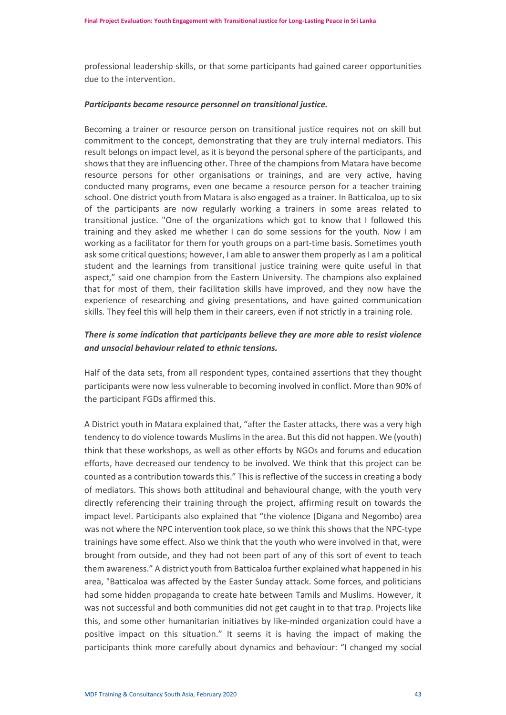professional leadership skills, or that some participants had gained career opportunities due to the intervention.

#### *Participants became resource personnel on transitional justice.*

Becoming a trainer or resource person on transitional justice requires not on skill but commitment to the concept, demonstrating that they are truly internal mediators. This result belongs on impact level, as it is beyond the personal sphere of the participants, and shows that they are influencing other. Three of the champions from Matara have become resource persons for other organisations or trainings, and are very active, having conducted many programs, even one became a resource person for a teacher training school. One district youth from Matara is also engaged as a trainer. In Batticaloa, up to six of the participants are now regularly working a trainers in some areas related to transitional justice. "One of the organizations which got to know that I followed this training and they asked me whether I can do some sessions for the youth. Now I am working as a facilitator for them for youth groups on a part-time basis. Sometimes youth ask some critical questions; however, I am able to answer them properly as I am a political student and the learnings from transitional justice training were quite useful in that aspect," said one champion from the Eastern University. The champions also explained that for most of them, their facilitation skills have improved, and they now have the experience of researching and giving presentations, and have gained communication skills. They feel this will help them in their careers, even if not strictly in a training role.

# *There is some indication that participants believe they are more able to resist violence and unsocial behaviour related to ethnic tensions.*

Half of the data sets, from all respondent types, contained assertions that they thought participants were now less vulnerable to becoming involved in conflict. More than 90% of the participant FGDs affirmed this.

A District youth in Matara explained that, "after the Easter attacks, there was a very high tendency to do violence towards Muslims in the area. But this did not happen. We (youth) think that these workshops, as well as other efforts by NGOs and forums and education efforts, have decreased our tendency to be involved. We think that this project can be counted as a contribution towards this." This is reflective of the success in creating a body of mediators. This shows both attitudinal and behavioural change, with the youth very directly referencing their training through the project, affirming result on towards the impact level. Participants also explained that "the violence (Digana and Negombo) area was not where the NPC intervention took place, so we think this shows that the NPC-type trainings have some effect. Also we think that the youth who were involved in that, were brought from outside, and they had not been part of any of this sort of event to teach them awareness." A district youth from Batticaloa further explained what happened in his area, "Batticaloa was affected by the Easter Sunday attack. Some forces, and politicians had some hidden propaganda to create hate between Tamils and Muslims. However, it was not successful and both communities did not get caught in to that trap. Projects like this, and some other humanitarian initiatives by like-minded organization could have a positive impact on this situation." It seems it is having the impact of making the participants think more carefully about dynamics and behaviour: "I changed my social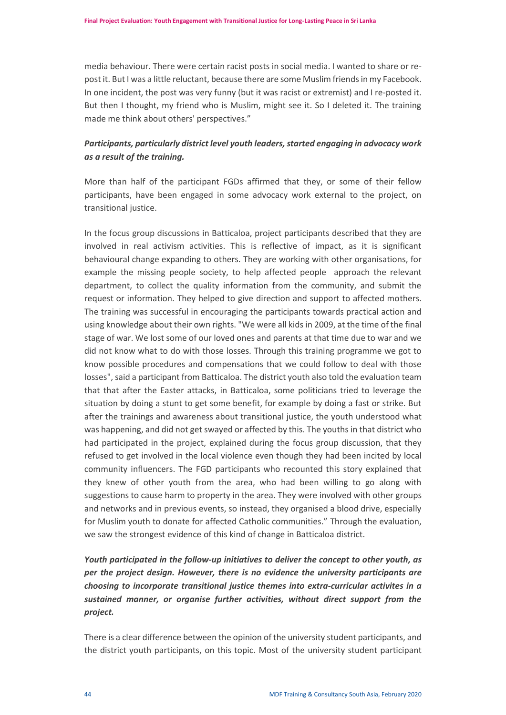media behaviour. There were certain racist posts in social media. I wanted to share or repost it. But I was a little reluctant, because there are some Muslim friends in my Facebook. In one incident, the post was very funny (but it was racist or extremist) and I re-posted it. But then I thought, my friend who is Muslim, might see it. So I deleted it. The training made me think about others' perspectives."

# *Participants, particularly district level youth leaders, started engaging in advocacy work as a result of the training.*

More than half of the participant FGDs affirmed that they, or some of their fellow participants, have been engaged in some advocacy work external to the project, on transitional justice.

In the focus group discussions in Batticaloa, project participants described that they are involved in real activism activities. This is reflective of impact, as it is significant behavioural change expanding to others. They are working with other organisations, for example the missing people society, to help affected people approach the relevant department, to collect the quality information from the community, and submit the request or information. They helped to give direction and support to affected mothers. The training was successful in encouraging the participants towards practical action and using knowledge about their own rights. "We were all kids in 2009, at the time of the final stage of war. We lost some of our loved ones and parents at that time due to war and we did not know what to do with those losses. Through this training programme we got to know possible procedures and compensations that we could follow to deal with those losses", said a participant from Batticaloa. The district youth also told the evaluation team that that after the Easter attacks, in Batticaloa, some politicians tried to leverage the situation by doing a stunt to get some benefit, for example by doing a fast or strike. But after the trainings and awareness about transitional justice, the youth understood what was happening, and did not get swayed or affected by this. The youths in that district who had participated in the project, explained during the focus group discussion, that they refused to get involved in the local violence even though they had been incited by local community influencers. The FGD participants who recounted this story explained that they knew of other youth from the area, who had been willing to go along with suggestions to cause harm to property in the area. They were involved with other groups and networks and in previous events, so instead, they organised a blood drive, especially for Muslim youth to donate for affected Catholic communities." Through the evaluation, we saw the strongest evidence of this kind of change in Batticaloa district.

*Youth participated in the follow-up initiatives to deliver the concept to other youth, as per the project design. However, there is no evidence the university participants are choosing to incorporate transitional justice themes into extra-curricular activites in a sustained manner, or organise further activities, without direct support from the project.*

There is a clear difference between the opinion of the university student participants, and the district youth participants, on this topic. Most of the university student participant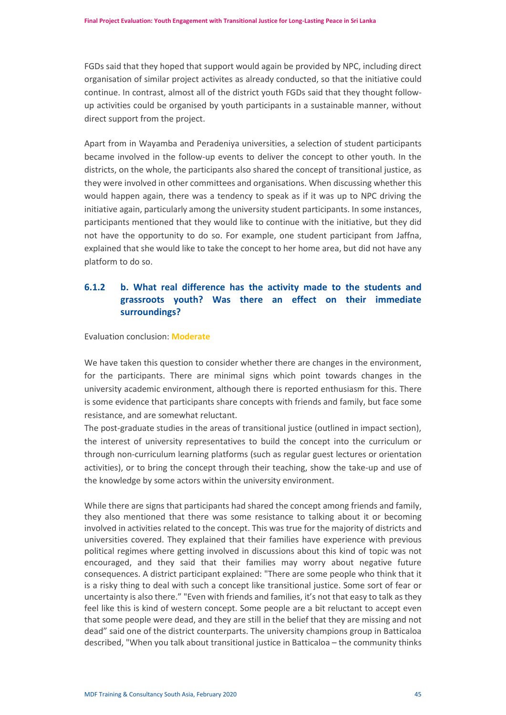FGDs said that they hoped that support would again be provided by NPC, including direct organisation of similar project activites as already conducted, so that the initiative could continue. In contrast, almost all of the district youth FGDs said that they thought followup activities could be organised by youth participants in a sustainable manner, without direct support from the project.

Apart from in Wayamba and Peradeniya universities, a selection of student participants became involved in the follow-up events to deliver the concept to other youth. In the districts, on the whole, the participants also shared the concept of transitional justice, as they were involved in other committees and organisations. When discussing whether this would happen again, there was a tendency to speak as if it was up to NPC driving the initiative again, particularly among the university student participants. In some instances, participants mentioned that they would like to continue with the initiative, but they did not have the opportunity to do so. For example, one student participant from Jaffna, explained that she would like to take the concept to her home area, but did not have any platform to do so.

# **6.1.2 b. What real difference has the activity made to the students and grassroots youth? Was there an effect on their immediate surroundings?**

#### Evaluation conclusion: **Moderate**

We have taken this question to consider whether there are changes in the environment, for the participants. There are minimal signs which point towards changes in the university academic environment, although there is reported enthusiasm for this. There is some evidence that participants share concepts with friends and family, but face some resistance, and are somewhat reluctant.

The post-graduate studies in the areas of transitional justice (outlined in impact section), the interest of university representatives to build the concept into the curriculum or through non-curriculum learning platforms (such as regular guest lectures or orientation activities), or to bring the concept through their teaching, show the take-up and use of the knowledge by some actors within the university environment.

While there are signs that participants had shared the concept among friends and family, they also mentioned that there was some resistance to talking about it or becoming involved in activities related to the concept. This was true for the majority of districts and universities covered. They explained that their families have experience with previous political regimes where getting involved in discussions about this kind of topic was not encouraged, and they said that their families may worry about negative future consequences. A district participant explained: "There are some people who think that it is a risky thing to deal with such a concept like transitional justice. Some sort of fear or uncertainty is also there." "Even with friends and families, it's not that easy to talk as they feel like this is kind of western concept. Some people are a bit reluctant to accept even that some people were dead, and they are still in the belief that they are missing and not dead" said one of the district counterparts. The university champions group in Batticaloa described, "When you talk about transitional justice in Batticaloa – the community thinks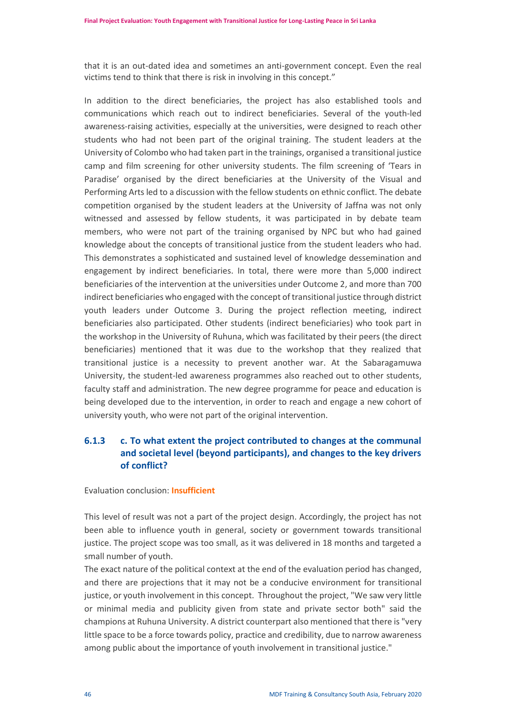that it is an out-dated idea and sometimes an anti-government concept. Even the real victims tend to think that there is risk in involving in this concept."

In addition to the direct beneficiaries, the project has also established tools and communications which reach out to indirect beneficiaries. Several of the youth-led awareness-raising activities, especially at the universities, were designed to reach other students who had not been part of the original training. The student leaders at the University of Colombo who had taken part in the trainings, organised a transitional justice camp and film screening for other university students. The film screening of 'Tears in Paradise' organised by the direct beneficiaries at the University of the Visual and Performing Arts led to a discussion with the fellow students on ethnic conflict. The debate competition organised by the student leaders at the University of Jaffna was not only witnessed and assessed by fellow students, it was participated in by debate team members, who were not part of the training organised by NPC but who had gained knowledge about the concepts of transitional justice from the student leaders who had. This demonstrates a sophisticated and sustained level of knowledge dessemination and engagement by indirect beneficiaries. In total, there were more than 5,000 indirect beneficiaries of the intervention at the universities under Outcome 2, and more than 700 indirect beneficiaries who engaged with the concept of transitional justice through district youth leaders under Outcome 3. During the project reflection meeting, indirect beneficiaries also participated. Other students (indirect beneficiaries) who took part in the workshop in the University of Ruhuna, which was facilitated by their peers (the direct beneficiaries) mentioned that it was due to the workshop that they realized that transitional justice is a necessity to prevent another war. At the Sabaragamuwa University, the student-led awareness programmes also reached out to other students, faculty staff and administration. The new degree programme for peace and education is being developed due to the intervention, in order to reach and engage a new cohort of university youth, who were not part of the original intervention.

# **6.1.3 c. To what extent the project contributed to changes at the communal and societal level (beyond participants), and changes to the key drivers of conflict?**

#### Evaluation conclusion: **Insufficient**

This level of result was not a part of the project design. Accordingly, the project has not been able to influence youth in general, society or government towards transitional justice. The project scope was too small, as it was delivered in 18 months and targeted a small number of youth.

The exact nature of the political context at the end of the evaluation period has changed, and there are projections that it may not be a conducive environment for transitional justice, or youth involvement in this concept. Throughout the project, "We saw very little or minimal media and publicity given from state and private sector both" said the champions at Ruhuna University. A district counterpart also mentioned that there is "very little space to be a force towards policy, practice and credibility, due to narrow awareness among public about the importance of youth involvement in transitional justice."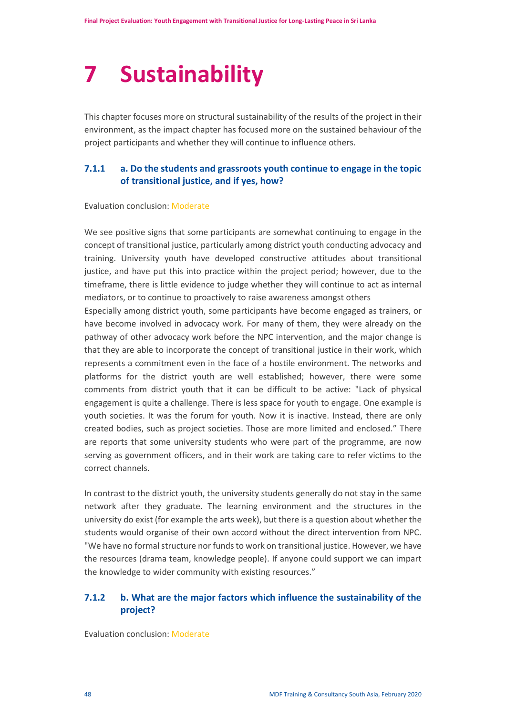# <span id="page-48-0"></span>**7 Sustainability**

This chapter focuses more on structural sustainability of the results of the project in their environment, as the impact chapter has focused more on the sustained behaviour of the project participants and whether they will continue to influence others.

# **7.1.1 a. Do the students and grassroots youth continue to engage in the topic of transitional justice, and if yes, how?**

#### Evaluation conclusion: Moderate

We see positive signs that some participants are somewhat continuing to engage in the concept of transitional justice, particularly among district youth conducting advocacy and training. University youth have developed constructive attitudes about transitional justice, and have put this into practice within the project period; however, due to the timeframe, there is little evidence to judge whether they will continue to act as internal mediators, or to continue to proactively to raise awareness amongst others

Especially among district youth, some participants have become engaged as trainers, or have become involved in advocacy work. For many of them, they were already on the pathway of other advocacy work before the NPC intervention, and the major change is that they are able to incorporate the concept of transitional justice in their work, which represents a commitment even in the face of a hostile environment. The networks and platforms for the district youth are well established; however, there were some comments from district youth that it can be difficult to be active: "Lack of physical engagement is quite a challenge. There is less space for youth to engage. One example is youth societies. It was the forum for youth. Now it is inactive. Instead, there are only created bodies, such as project societies. Those are more limited and enclosed." There are reports that some university students who were part of the programme, are now serving as government officers, and in their work are taking care to refer victims to the correct channels.

In contrast to the district youth, the university students generally do not stay in the same network after they graduate. The learning environment and the structures in the university do exist (for example the arts week), but there is a question about whether the students would organise of their own accord without the direct intervention from NPC. "We have no formal structure nor funds to work on transitional justice. However, we have the resources (drama team, knowledge people). If anyone could support we can impart the knowledge to wider community with existing resources."

# **7.1.2 b. What are the major factors which influence the sustainability of the project?**

Evaluation conclusion: Moderate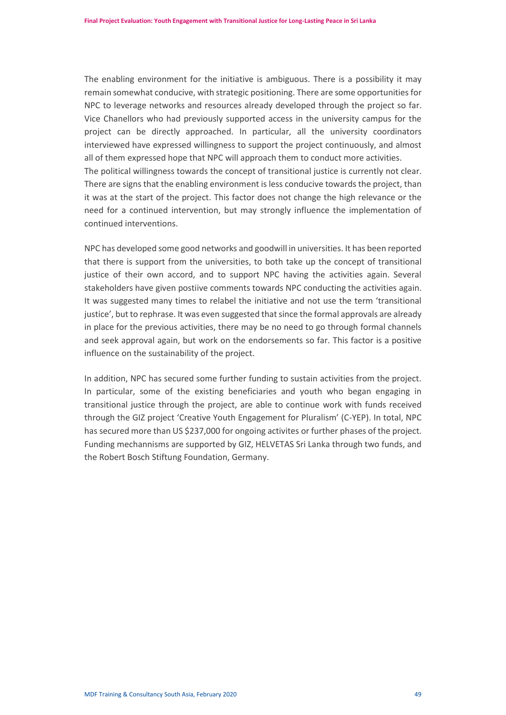The enabling environment for the initiative is ambiguous. There is a possibility it may remain somewhat conducive, with strategic positioning. There are some opportunities for NPC to leverage networks and resources already developed through the project so far. Vice Chanellors who had previously supported access in the university campus for the project can be directly approached. In particular, all the university coordinators interviewed have expressed willingness to support the project continuously, and almost all of them expressed hope that NPC will approach them to conduct more activities. The political willingness towards the concept of transitional justice is currently not clear. There are signs that the enabling environment is less conducive towards the project, than it was at the start of the project. This factor does not change the high relevance or the need for a continued intervention, but may strongly influence the implementation of continued interventions.

NPC has developed some good networks and goodwill in universities. It has been reported that there is support from the universities, to both take up the concept of transitional justice of their own accord, and to support NPC having the activities again. Several stakeholders have given postiive comments towards NPC conducting the activities again. It was suggested many times to relabel the initiative and not use the term 'transitional justice', but to rephrase. It was even suggested that since the formal approvals are already in place for the previous activities, there may be no need to go through formal channels and seek approval again, but work on the endorsements so far. This factor is a positive influence on the sustainability of the project.

In addition, NPC has secured some further funding to sustain activities from the project. In particular, some of the existing beneficiaries and youth who began engaging in transitional justice through the project, are able to continue work with funds received through the GIZ project 'Creative Youth Engagement for Pluralism' (C-YEP). In total, NPC has secured more than US \$237,000 for ongoing activites or further phases of the project. Funding mechannisms are supported by GIZ, HELVETAS Sri Lanka through two funds, and the Robert Bosch Stiftung Foundation, Germany.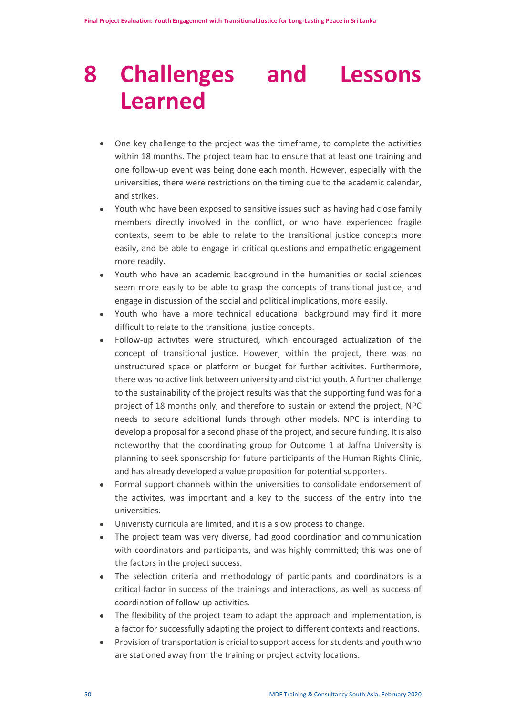# <span id="page-50-0"></span>**8 Challenges and Lessons Learned**

- One key challenge to the project was the timeframe, to complete the activities within 18 months. The project team had to ensure that at least one training and one follow-up event was being done each month. However, especially with the universities, there were restrictions on the timing due to the academic calendar, and strikes.
- Youth who have been exposed to sensitive issues such as having had close family members directly involved in the conflict, or who have experienced fragile contexts, seem to be able to relate to the transitional justice concepts more easily, and be able to engage in critical questions and empathetic engagement more readily.
- Youth who have an academic background in the humanities or social sciences seem more easily to be able to grasp the concepts of transitional justice, and engage in discussion of the social and political implications, more easily.
- Youth who have a more technical educational background may find it more difficult to relate to the transitional justice concepts.
- Follow-up activites were structured, which encouraged actualization of the concept of transitional justice. However, within the project, there was no unstructured space or platform or budget for further acitivites. Furthermore, there was no active link between university and district youth. A further challenge to the sustainability of the project results was that the supporting fund was for a project of 18 months only, and therefore to sustain or extend the project, NPC needs to secure additional funds through other models. NPC is intending to develop a proposal for a second phase of the project, and secure funding. It is also noteworthy that the coordinating group for Outcome 1 at Jaffna University is planning to seek sponsorship for future participants of the Human Rights Clinic, and has already developed a value proposition for potential supporters.
- Formal support channels within the universities to consolidate endorsement of the activites, was important and a key to the success of the entry into the universities.
- Univeristy curricula are limited, and it is a slow process to change.
- The project team was very diverse, had good coordination and communication with coordinators and participants, and was highly committed; this was one of the factors in the project success.
- The selection criteria and methodology of participants and coordinators is a critical factor in success of the trainings and interactions, as well as success of coordination of follow-up activities.
- The flexibility of the project team to adapt the approach and implementation, is a factor for successfully adapting the project to different contexts and reactions.
- Provision of transportation is cricial to support access for students and youth who are stationed away from the training or project actvity locations.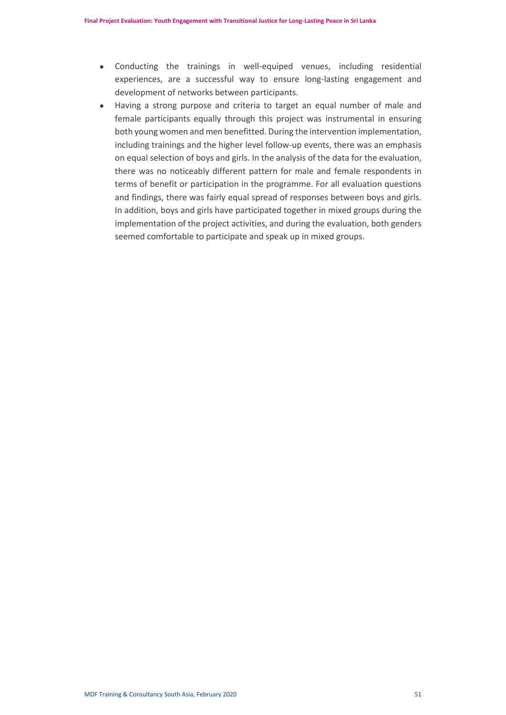- Conducting the trainings in well-equiped venues, including residential experiences, are a successful way to ensure long-lasting engagement and development of networks between participants.
- Having a strong purpose and criteria to target an equal number of male and female participants equally through this project was instrumental in ensuring both young women and men benefitted. During the intervention implementation, including trainings and the higher level follow-up events, there was an emphasis on equal selection of boys and girls. In the analysis of the data for the evaluation, there was no noticeably different pattern for male and female respondents in terms of benefit or participation in the programme. For all evaluation questions and findings, there was fairly equal spread of responses between boys and girls. In addition, boys and girls have participated together in mixed groups during the implementation of the project activities, and during the evaluation, both genders seemed comfortable to participate and speak up in mixed groups.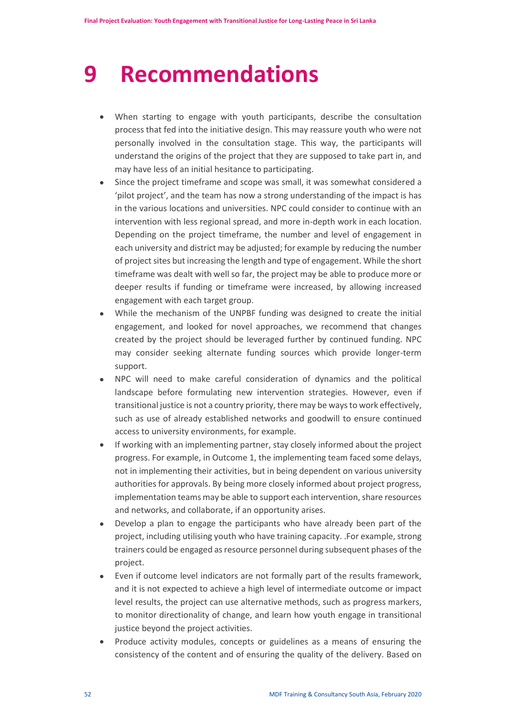# <span id="page-52-0"></span>**9 Recommendations**

- When starting to engage with youth participants, describe the consultation process that fed into the initiative design. This may reassure youth who were not personally involved in the consultation stage. This way, the participants will understand the origins of the project that they are supposed to take part in, and may have less of an initial hesitance to participating.
- Since the project timeframe and scope was small, it was somewhat considered a 'pilot project', and the team has now a strong understanding of the impact is has in the various locations and universities. NPC could consider to continue with an intervention with less regional spread, and more in-depth work in each location. Depending on the project timeframe, the number and level of engagement in each university and district may be adjusted; for example by reducing the number of project sites but increasing the length and type of engagement. While the short timeframe was dealt with well so far, the project may be able to produce more or deeper results if funding or timeframe were increased, by allowing increased engagement with each target group.
- While the mechanism of the UNPBF funding was designed to create the initial engagement, and looked for novel approaches, we recommend that changes created by the project should be leveraged further by continued funding. NPC may consider seeking alternate funding sources which provide longer-term support.
- NPC will need to make careful consideration of dynamics and the political landscape before formulating new intervention strategies. However, even if transitional justice is not a country priority, there may be ways to work effectively, such as use of already established networks and goodwill to ensure continued access to university environments, for example.
- If working with an implementing partner, stay closely informed about the project progress. For example, in Outcome 1, the implementing team faced some delays, not in implementing their activities, but in being dependent on various university authorities for approvals. By being more closely informed about project progress, implementation teams may be able to support each intervention, share resources and networks, and collaborate, if an opportunity arises.
- Develop a plan to engage the participants who have already been part of the project, including utilising youth who have training capacity. .For example, strong trainers could be engaged as resource personnel during subsequent phases of the project.
- Even if outcome level indicators are not formally part of the results framework, and it is not expected to achieve a high level of intermediate outcome or impact level results, the project can use alternative methods, such as progress markers, to monitor directionality of change, and learn how youth engage in transitional justice beyond the project activities.
- Produce activity modules, concepts or guidelines as a means of ensuring the consistency of the content and of ensuring the quality of the delivery. Based on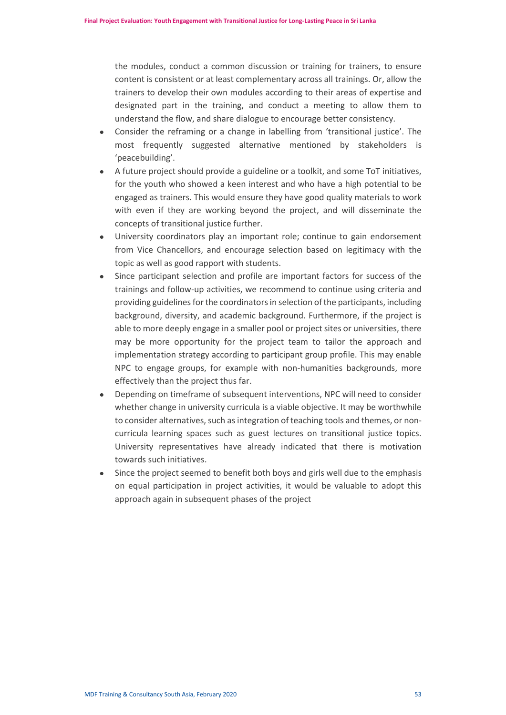the modules, conduct a common discussion or training for trainers, to ensure content is consistent or at least complementary across all trainings. Or, allow the trainers to develop their own modules according to their areas of expertise and designated part in the training, and conduct a meeting to allow them to understand the flow, and share dialogue to encourage better consistency.

- Consider the reframing or a change in labelling from 'transitional justice'. The most frequently suggested alternative mentioned by stakeholders is 'peacebuilding'.
- A future project should provide a guideline or a toolkit, and some ToT initiatives, for the youth who showed a keen interest and who have a high potential to be engaged as trainers. This would ensure they have good quality materials to work with even if they are working beyond the project, and will disseminate the concepts of transitional justice further.
- University coordinators play an important role; continue to gain endorsement from Vice Chancellors, and encourage selection based on legitimacy with the topic as well as good rapport with students.
- Since participant selection and profile are important factors for success of the trainings and follow-up activities, we recommend to continue using criteria and providing guidelines for the coordinators in selection of the participants, including background, diversity, and academic background. Furthermore, if the project is able to more deeply engage in a smaller pool or project sites or universities, there may be more opportunity for the project team to tailor the approach and implementation strategy according to participant group profile. This may enable NPC to engage groups, for example with non-humanities backgrounds, more effectively than the project thus far.
- Depending on timeframe of subsequent interventions, NPC will need to consider whether change in university curricula is a viable objective. It may be worthwhile to consider alternatives, such as integration of teaching tools and themes, or noncurricula learning spaces such as guest lectures on transitional justice topics. University representatives have already indicated that there is motivation towards such initiatives.
- Since the project seemed to benefit both boys and girls well due to the emphasis on equal participation in project activities, it would be valuable to adopt this approach again in subsequent phases of the project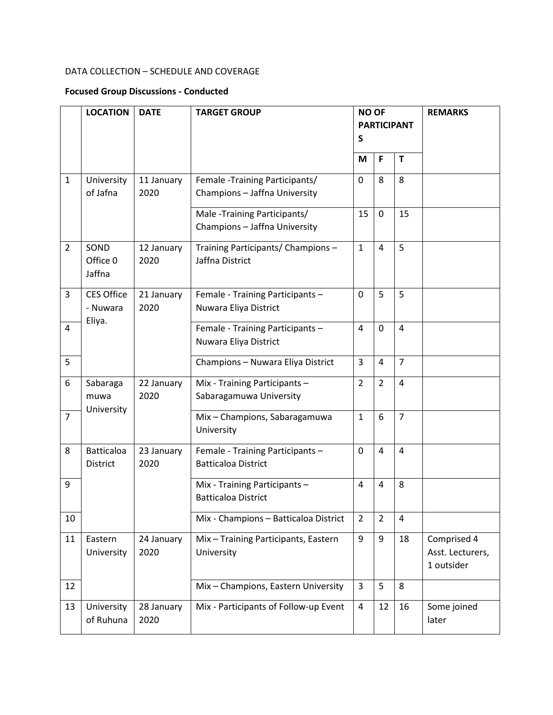# DATA COLLECTION – SCHEDULE AND COVERAGE

# **Focused Group Discussions - Conducted**

|                | <b>LOCATION</b>                      | <b>DATE</b>        | <b>TARGET GROUP</b>                                              | <b>NO OF</b><br><b>PARTICIPANT</b><br>S |                |                | <b>REMARKS</b>                                |
|----------------|--------------------------------------|--------------------|------------------------------------------------------------------|-----------------------------------------|----------------|----------------|-----------------------------------------------|
|                |                                      |                    |                                                                  | M                                       | F              | $\mathbf T$    |                                               |
| $\mathbf{1}$   | University<br>of Jafna               | 11 January<br>2020 | Female - Training Participants/<br>Champions - Jaffna University | $\Omega$                                | 8              | 8              |                                               |
|                |                                      |                    | Male -Training Participants/<br>Champions - Jaffna University    | 15                                      | 0              | 15             |                                               |
| $\overline{2}$ | SOND<br>Office 0<br>Jaffna           | 12 January<br>2020 | Training Participants/ Champions -<br>Jaffna District            | $\mathbf{1}$                            | 4              | 5              |                                               |
| 3              | <b>CES Office</b><br>- Nuwara        | 21 January<br>2020 | Female - Training Participants -<br>Nuwara Eliya District        | 0                                       | 5              | 5              |                                               |
| $\overline{4}$ | Eliya.                               |                    | Female - Training Participants -<br>Nuwara Eliya District        | 4                                       | 0              | $\overline{4}$ |                                               |
| 5              |                                      |                    | Champions - Nuwara Eliya District                                | 3                                       | 4              | $\overline{7}$ |                                               |
| 6              | Sabaraga<br>muwa                     | 22 January<br>2020 | Mix - Training Participants -<br>Sabaragamuwa University         | $\overline{2}$                          | $\overline{2}$ | $\overline{4}$ |                                               |
| $\overline{7}$ | University                           |                    | Mix - Champions, Sabaragamuwa<br>University                      | $\mathbf{1}$                            | 6              | $\overline{7}$ |                                               |
| 8              | <b>Batticaloa</b><br><b>District</b> | 23 January<br>2020 | Female - Training Participants -<br><b>Batticaloa District</b>   | 0                                       | 4              | 4              |                                               |
| 9              |                                      |                    | Mix - Training Participants -<br><b>Batticaloa District</b>      | 4                                       | 4              | 8              |                                               |
| 10             |                                      |                    | Mix - Champions - Batticaloa District                            | $\overline{2}$                          | $\overline{2}$ | 4              |                                               |
| 11             | Eastern<br>University                | 24 January<br>2020 | Mix - Training Participants, Eastern<br>University               | 9                                       | 9              | 18             | Comprised 4<br>Asst. Lecturers,<br>1 outsider |
| 12             |                                      |                    | Mix - Champions, Eastern University                              | 3                                       | 5              | 8              |                                               |
| 13             | University<br>of Ruhuna              | 28 January<br>2020 | Mix - Participants of Follow-up Event                            | 4                                       | 12             | 16             | Some joined<br>later                          |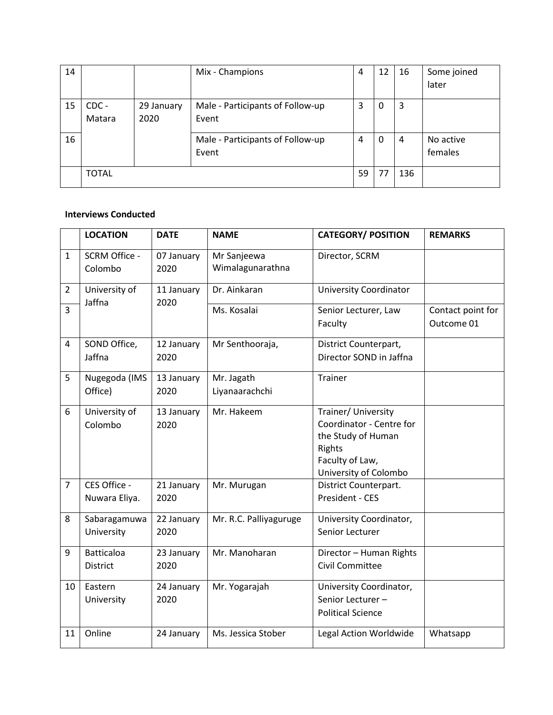| 14 |              |            | Mix - Champions                  | 4  | 12 | 16  | Some joined |
|----|--------------|------------|----------------------------------|----|----|-----|-------------|
|    |              |            |                                  |    |    |     | later       |
| 15 | CDC -        | 29 January | Male - Participants of Follow-up | 3  | 0  | 3   |             |
|    | Matara       | 2020       | Event                            |    |    |     |             |
| 16 |              |            | Male - Participants of Follow-up | 4  | 0  | 4   | No active   |
|    |              |            | Event                            |    |    |     | females     |
|    | <b>TOTAL</b> |            |                                  | 59 | 77 | 136 |             |

### **Interviews Conducted**

|                | <b>LOCATION</b>               | <b>DATE</b>        | <b>NAME</b>                     | <b>CATEGORY/ POSITION</b>                                                                                                   | <b>REMARKS</b>                  |
|----------------|-------------------------------|--------------------|---------------------------------|-----------------------------------------------------------------------------------------------------------------------------|---------------------------------|
| $\mathbf{1}$   | SCRM Office -<br>Colombo      | 07 January<br>2020 | Mr Sanjeewa<br>Wimalagunarathna | Director, SCRM                                                                                                              |                                 |
| $\overline{2}$ | University of<br>Jaffna       | 11 January<br>2020 | Dr. Ainkaran                    | <b>University Coordinator</b>                                                                                               |                                 |
| $\overline{3}$ |                               |                    | Ms. Kosalai                     | Senior Lecturer, Law<br>Faculty                                                                                             | Contact point for<br>Outcome 01 |
| 4              | SOND Office,<br>Jaffna        | 12 January<br>2020 | Mr Senthooraja,                 | District Counterpart,<br>Director SOND in Jaffna                                                                            |                                 |
| 5              | Nugegoda (IMS<br>Office)      | 13 January<br>2020 | Mr. Jagath<br>Liyanaarachchi    | Trainer                                                                                                                     |                                 |
| 6              | University of<br>Colombo      | 13 January<br>2020 | Mr. Hakeem                      | Trainer/ University<br>Coordinator - Centre for<br>the Study of Human<br>Rights<br>Faculty of Law,<br>University of Colombo |                                 |
| $\overline{7}$ | CES Office -<br>Nuwara Eliya. | 21 January<br>2020 | Mr. Murugan                     | District Counterpart.<br>President - CES                                                                                    |                                 |
| 8              | Sabaragamuwa<br>University    | 22 January<br>2020 | Mr. R.C. Palliyaguruge          | University Coordinator,<br>Senior Lecturer                                                                                  |                                 |
| 9              | <b>Batticaloa</b><br>District | 23 January<br>2020 | Mr. Manoharan                   | Director - Human Rights<br>Civil Committee                                                                                  |                                 |
| 10             | Eastern<br>University         | 24 January<br>2020 | Mr. Yogarajah                   | University Coordinator,<br>Senior Lecturer-<br><b>Political Science</b>                                                     |                                 |
| 11             | Online                        | 24 January         | Ms. Jessica Stober              | Legal Action Worldwide                                                                                                      | Whatsapp                        |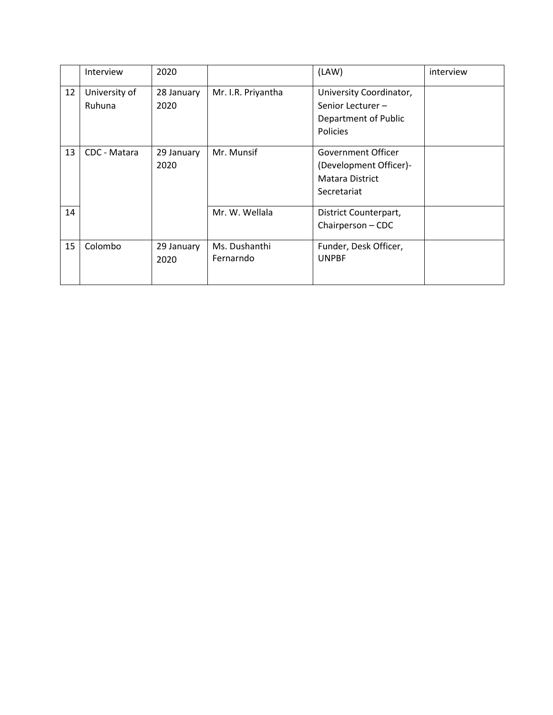|    | <b>Interview</b> | 2020       |                    | (LAW)                   | interview |
|----|------------------|------------|--------------------|-------------------------|-----------|
| 12 | University of    | 28 January | Mr. I.R. Priyantha | University Coordinator, |           |
|    | Ruhuna           | 2020       |                    | Senior Lecturer-        |           |
|    |                  |            |                    | Department of Public    |           |
|    |                  |            |                    | Policies                |           |
| 13 | CDC - Matara     | 29 January | Mr. Munsif         | Government Officer      |           |
|    |                  | 2020       |                    | (Development Officer)-  |           |
|    |                  |            |                    | <b>Matara District</b>  |           |
|    |                  |            |                    | Secretariat             |           |
| 14 |                  |            | Mr. W. Wellala     | District Counterpart,   |           |
|    |                  |            |                    | Chairperson - CDC       |           |
| 15 | Colombo          | 29 January | Ms. Dushanthi      | Funder, Desk Officer,   |           |
|    |                  | 2020       | Fernarndo          | <b>UNPBF</b>            |           |
|    |                  |            |                    |                         |           |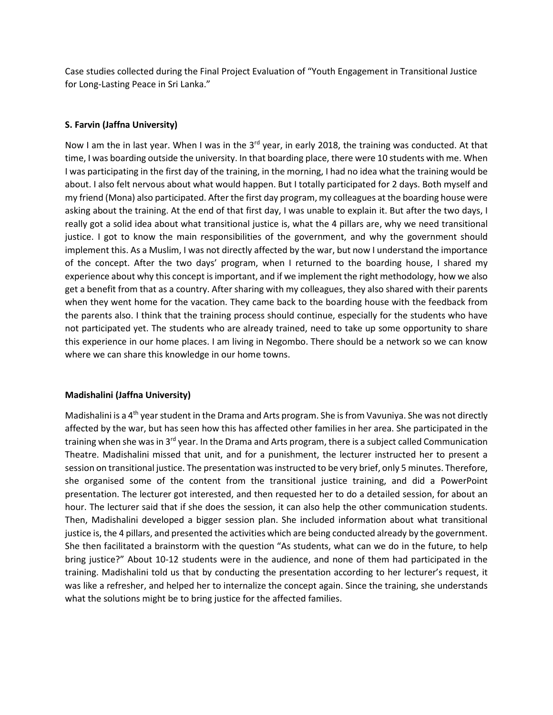Case studies collected during the Final Project Evaluation of "Youth Engagement in Transitional Justice for Long-Lasting Peace in Sri Lanka."

# **S. Farvin (Jaffna University)**

Now I am the in last year. When I was in the  $3<sup>rd</sup>$  year, in early 2018, the training was conducted. At that time, I was boarding outside the university. In that boarding place, there were 10 students with me. When I was participating in the first day of the training, in the morning, I had no idea what the training would be about. I also felt nervous about what would happen. But I totally participated for 2 days. Both myself and my friend (Mona) also participated. After the first day program, my colleagues at the boarding house were asking about the training. At the end of that first day, I was unable to explain it. But after the two days, I really got a solid idea about what transitional justice is, what the 4 pillars are, why we need transitional justice. I got to know the main responsibilities of the government, and why the government should implement this. As a Muslim, I was not directly affected by the war, but now I understand the importance of the concept. After the two days' program, when I returned to the boarding house, I shared my experience about why this concept is important, and if we implement the right methodology, how we also get a benefit from that as a country. After sharing with my colleagues, they also shared with their parents when they went home for the vacation. They came back to the boarding house with the feedback from the parents also. I think that the training process should continue, especially for the students who have not participated yet. The students who are already trained, need to take up some opportunity to share this experience in our home places. I am living in Negombo. There should be a network so we can know where we can share this knowledge in our home towns.

## **Madishalini (Jaffna University)**

Madishalini is a 4<sup>th</sup> year student in the Drama and Arts program. She is from Vavuniya. She was not directly affected by the war, but has seen how this has affected other families in her area. She participated in the training when she was in 3<sup>rd</sup> year. In the Drama and Arts program, there is a subject called Communication Theatre. Madishalini missed that unit, and for a punishment, the lecturer instructed her to present a session on transitional justice. The presentation was instructed to be very brief, only 5 minutes. Therefore, she organised some of the content from the transitional justice training, and did a PowerPoint presentation. The lecturer got interested, and then requested her to do a detailed session, for about an hour. The lecturer said that if she does the session, it can also help the other communication students. Then, Madishalini developed a bigger session plan. She included information about what transitional justice is, the 4 pillars, and presented the activities which are being conducted already by the government. She then facilitated a brainstorm with the question "As students, what can we do in the future, to help bring justice?" About 10-12 students were in the audience, and none of them had participated in the training. Madishalini told us that by conducting the presentation according to her lecturer's request, it was like a refresher, and helped her to internalize the concept again. Since the training, she understands what the solutions might be to bring justice for the affected families.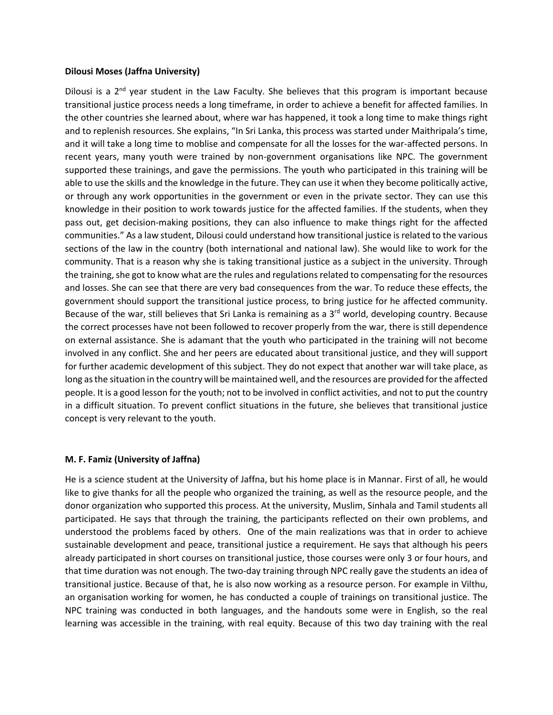#### **Dilousi Moses (Jaffna University)**

Dilousi is a  $2<sup>nd</sup>$  year student in the Law Faculty. She believes that this program is important because transitional justice process needs a long timeframe, in order to achieve a benefit for affected families. In the other countries she learned about, where war has happened, it took a long time to make things right and to replenish resources. She explains, "In Sri Lanka, this process was started under Maithripala's time, and it will take a long time to moblise and compensate for all the losses for the war-affected persons. In recent years, many youth were trained by non-government organisations like NPC. The government supported these trainings, and gave the permissions. The youth who participated in this training will be able to use the skills and the knowledge in the future. They can use it when they become politically active, or through any work opportunities in the government or even in the private sector. They can use this knowledge in their position to work towards justice for the affected families. If the students, when they pass out, get decision-making positions, they can also influence to make things right for the affected communities." As a law student, Dilousi could understand how transitional justice is related to the various sections of the law in the country (both international and national law). She would like to work for the community. That is a reason why she is taking transitional justice as a subject in the university. Through the training, she got to know what are the rules and regulations related to compensating for the resources and losses. She can see that there are very bad consequences from the war. To reduce these effects, the government should support the transitional justice process, to bring justice for he affected community. Because of the war, still believes that Sri Lanka is remaining as a  $3<sup>rd</sup>$  world, developing country. Because the correct processes have not been followed to recover properly from the war, there is still dependence on external assistance. She is adamant that the youth who participated in the training will not become involved in any conflict. She and her peers are educated about transitional justice, and they will support for further academic development of this subject. They do not expect that another war will take place, as long asthe situation in the country will be maintained well, and the resources are provided for the affected people. It is a good lesson for the youth; not to be involved in conflict activities, and not to put the country in a difficult situation. To prevent conflict situations in the future, she believes that transitional justice concept is very relevant to the youth.

## **M. F. Famiz (University of Jaffna)**

He is a science student at the University of Jaffna, but his home place is in Mannar. First of all, he would like to give thanks for all the people who organized the training, as well as the resource people, and the donor organization who supported this process. At the university, Muslim, Sinhala and Tamil students all participated. He says that through the training, the participants reflected on their own problems, and understood the problems faced by others. One of the main realizations was that in order to achieve sustainable development and peace, transitional justice a requirement. He says that although his peers already participated in short courses on transitional justice, those courses were only 3 or four hours, and that time duration was not enough. The two-day training through NPC really gave the students an idea of transitional justice. Because of that, he is also now working as a resource person. For example in Vilthu, an organisation working for women, he has conducted a couple of trainings on transitional justice. The NPC training was conducted in both languages, and the handouts some were in English, so the real learning was accessible in the training, with real equity. Because of this two day training with the real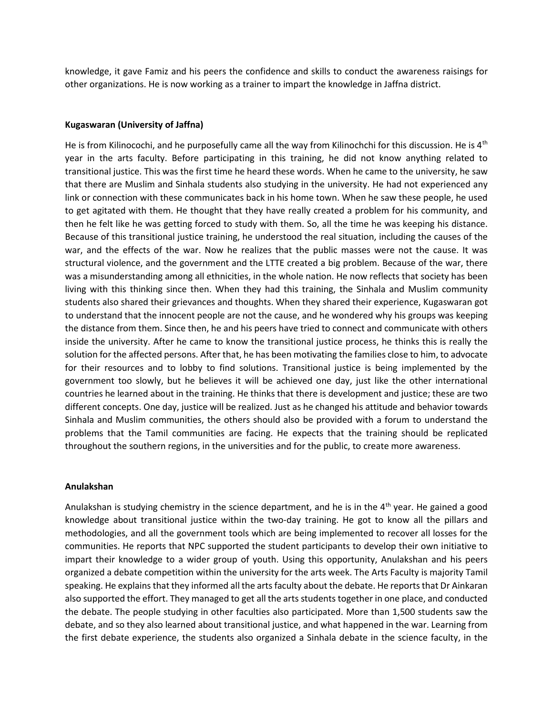knowledge, it gave Famiz and his peers the confidence and skills to conduct the awareness raisings for other organizations. He is now working as a trainer to impart the knowledge in Jaffna district.

#### **Kugaswaran (University of Jaffna)**

He is from Kilinocochi, and he purposefully came all the way from Kilinochchi for this discussion. He is  $4<sup>th</sup>$ year in the arts faculty. Before participating in this training, he did not know anything related to transitional justice. This was the first time he heard these words. When he came to the university, he saw that there are Muslim and Sinhala students also studying in the university. He had not experienced any link or connection with these communicates back in his home town. When he saw these people, he used to get agitated with them. He thought that they have really created a problem for his community, and then he felt like he was getting forced to study with them. So, all the time he was keeping his distance. Because of this transitional justice training, he understood the real situation, including the causes of the war, and the effects of the war. Now he realizes that the public masses were not the cause. It was structural violence, and the government and the LTTE created a big problem. Because of the war, there was a misunderstanding among all ethnicities, in the whole nation. He now reflects that society has been living with this thinking since then. When they had this training, the Sinhala and Muslim community students also shared their grievances and thoughts. When they shared their experience, Kugaswaran got to understand that the innocent people are not the cause, and he wondered why his groups was keeping the distance from them. Since then, he and his peers have tried to connect and communicate with others inside the university. After he came to know the transitional justice process, he thinks this is really the solution for the affected persons. After that, he has been motivating the families close to him, to advocate for their resources and to lobby to find solutions. Transitional justice is being implemented by the government too slowly, but he believes it will be achieved one day, just like the other international countries he learned about in the training. He thinks that there is development and justice; these are two different concepts. One day, justice will be realized. Just as he changed his attitude and behavior towards Sinhala and Muslim communities, the others should also be provided with a forum to understand the problems that the Tamil communities are facing. He expects that the training should be replicated throughout the southern regions, in the universities and for the public, to create more awareness.

#### **Anulakshan**

Anulakshan is studying chemistry in the science department, and he is in the 4<sup>th</sup> year. He gained a good knowledge about transitional justice within the two-day training. He got to know all the pillars and methodologies, and all the government tools which are being implemented to recover all losses for the communities. He reports that NPC supported the student participants to develop their own initiative to impart their knowledge to a wider group of youth. Using this opportunity, Anulakshan and his peers organized a debate competition within the university for the arts week. The Arts Faculty is majority Tamil speaking. He explains that they informed all the arts faculty about the debate. He reports that Dr Ainkaran also supported the effort. They managed to get all the arts students together in one place, and conducted the debate. The people studying in other faculties also participated. More than 1,500 students saw the debate, and so they also learned about transitional justice, and what happened in the war. Learning from the first debate experience, the students also organized a Sinhala debate in the science faculty, in the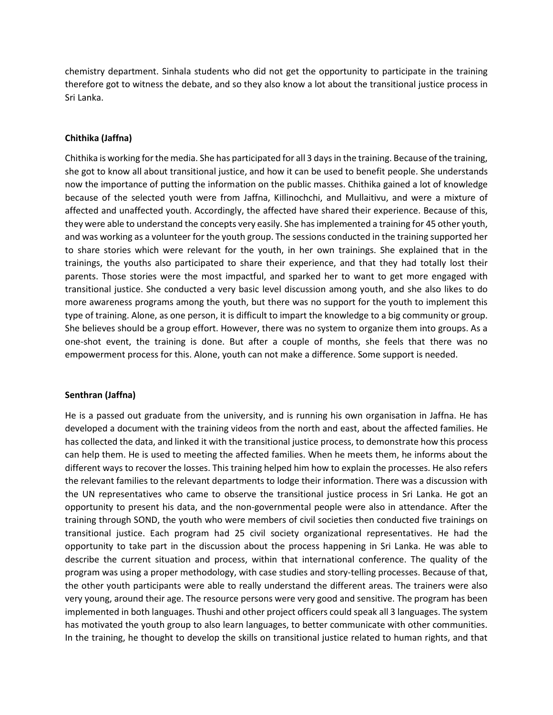chemistry department. Sinhala students who did not get the opportunity to participate in the training therefore got to witness the debate, and so they also know a lot about the transitional justice process in Sri Lanka.

## **Chithika (Jaffna)**

Chithika is working for the media. She has participated for all 3 days in the training. Because of the training, she got to know all about transitional justice, and how it can be used to benefit people. She understands now the importance of putting the information on the public masses. Chithika gained a lot of knowledge because of the selected youth were from Jaffna, KiIlinochchi, and Mullaitivu, and were a mixture of affected and unaffected youth. Accordingly, the affected have shared their experience. Because of this, they were able to understand the concepts very easily. She has implemented a training for 45 other youth, and was working as a volunteer for the youth group. The sessions conducted in the training supported her to share stories which were relevant for the youth, in her own trainings. She explained that in the trainings, the youths also participated to share their experience, and that they had totally lost their parents. Those stories were the most impactful, and sparked her to want to get more engaged with transitional justice. She conducted a very basic level discussion among youth, and she also likes to do more awareness programs among the youth, but there was no support for the youth to implement this type of training. Alone, as one person, it is difficult to impart the knowledge to a big community or group. She believes should be a group effort. However, there was no system to organize them into groups. As a one-shot event, the training is done. But after a couple of months, she feels that there was no empowerment process for this. Alone, youth can not make a difference. Some support is needed.

## **Senthran (Jaffna)**

He is a passed out graduate from the university, and is running his own organisation in Jaffna. He has developed a document with the training videos from the north and east, about the affected families. He has collected the data, and linked it with the transitional justice process, to demonstrate how this process can help them. He is used to meeting the affected families. When he meets them, he informs about the different ways to recover the losses. This training helped him how to explain the processes. He also refers the relevant families to the relevant departments to lodge their information. There was a discussion with the UN representatives who came to observe the transitional justice process in Sri Lanka. He got an opportunity to present his data, and the non-governmental people were also in attendance. After the training through SOND, the youth who were members of civil societies then conducted five trainings on transitional justice. Each program had 25 civil society organizational representatives. He had the opportunity to take part in the discussion about the process happening in Sri Lanka. He was able to describe the current situation and process, within that international conference. The quality of the program was using a proper methodology, with case studies and story-telling processes. Because of that, the other youth participants were able to really understand the different areas. The trainers were also very young, around their age. The resource persons were very good and sensitive. The program has been implemented in both languages. Thushi and other project officers could speak all 3 languages. The system has motivated the youth group to also learn languages, to better communicate with other communities. In the training, he thought to develop the skills on transitional justice related to human rights, and that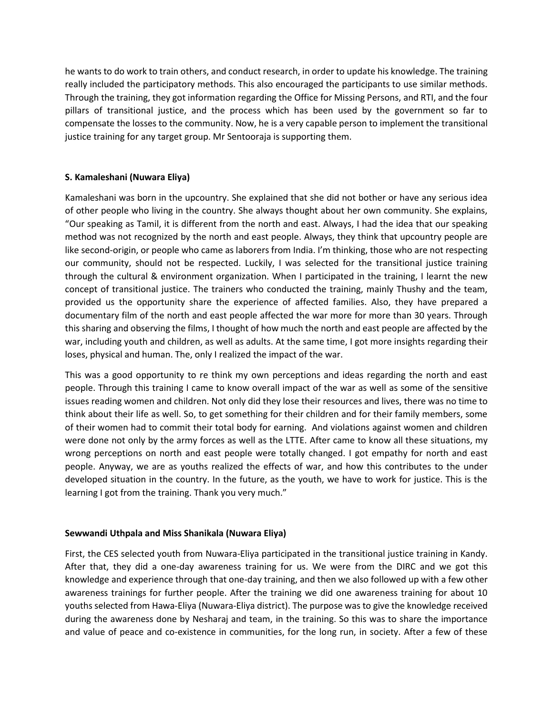he wants to do work to train others, and conduct research, in order to update his knowledge. The training really included the participatory methods. This also encouraged the participants to use similar methods. Through the training, they got information regarding the Office for Missing Persons, and RTI, and the four pillars of transitional justice, and the process which has been used by the government so far to compensate the losses to the community. Now, he is a very capable person to implement the transitional justice training for any target group. Mr Sentooraja is supporting them.

# **S. Kamaleshani (Nuwara Eliya)**

Kamaleshani was born in the upcountry. She explained that she did not bother or have any serious idea of other people who living in the country. She always thought about her own community. She explains, "Our speaking as Tamil, it is different from the north and east. Always, I had the idea that our speaking method was not recognized by the north and east people. Always, they think that upcountry people are like second-origin, or people who came as laborers from India. I'm thinking, those who are not respecting our community, should not be respected. Luckily, I was selected for the transitional justice training through the cultural & environment organization. When I participated in the training, I learnt the new concept of transitional justice. The trainers who conducted the training, mainly Thushy and the team, provided us the opportunity share the experience of affected families. Also, they have prepared a documentary film of the north and east people affected the war more for more than 30 years. Through this sharing and observing the films, I thought of how much the north and east people are affected by the war, including youth and children, as well as adults. At the same time, I got more insights regarding their loses, physical and human. The, only I realized the impact of the war.

This was a good opportunity to re think my own perceptions and ideas regarding the north and east people. Through this training I came to know overall impact of the war as well as some of the sensitive issues reading women and children. Not only did they lose their resources and lives, there was no time to think about their life as well. So, to get something for their children and for their family members, some of their women had to commit their total body for earning. And violations against women and children were done not only by the army forces as well as the LTTE. After came to know all these situations, my wrong perceptions on north and east people were totally changed. I got empathy for north and east people. Anyway, we are as youths realized the effects of war, and how this contributes to the under developed situation in the country. In the future, as the youth, we have to work for justice. This is the learning I got from the training. Thank you very much."

## **Sewwandi Uthpala and Miss Shanikala (Nuwara Eliya)**

First, the CES selected youth from Nuwara-Eliya participated in the transitional justice training in Kandy. After that, they did a one-day awareness training for us. We were from the DIRC and we got this knowledge and experience through that one-day training, and then we also followed up with a few other awareness trainings for further people. After the training we did one awareness training for about 10 youths selected from Hawa-Eliya (Nuwara-Eliya district). The purpose was to give the knowledge received during the awareness done by Nesharaj and team, in the training. So this was to share the importance and value of peace and co-existence in communities, for the long run, in society. After a few of these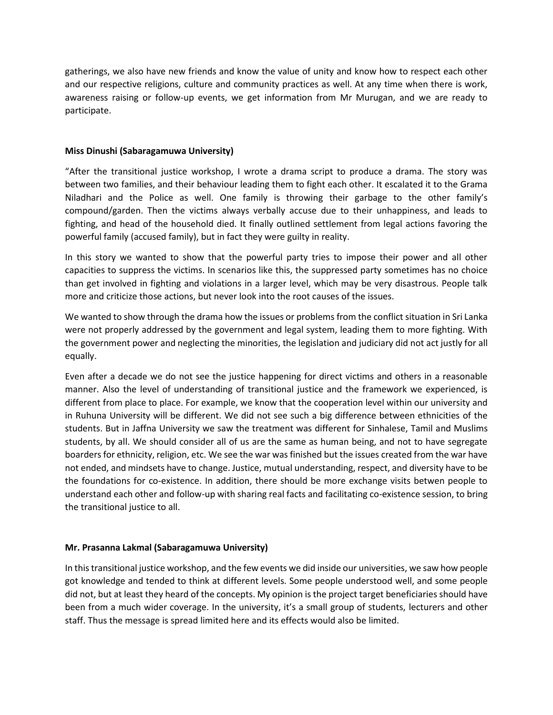gatherings, we also have new friends and know the value of unity and know how to respect each other and our respective religions, culture and community practices as well. At any time when there is work, awareness raising or follow-up events, we get information from Mr Murugan, and we are ready to participate.

#### **Miss Dinushi (Sabaragamuwa University)**

"After the transitional justice workshop, I wrote a drama script to produce a drama. The story was between two families, and their behaviour leading them to fight each other. It escalated it to the Grama Niladhari and the Police as well. One family is throwing their garbage to the other family's compound/garden. Then the victims always verbally accuse due to their unhappiness, and leads to fighting, and head of the household died. It finally outlined settlement from legal actions favoring the powerful family (accused family), but in fact they were guilty in reality.

In this story we wanted to show that the powerful party tries to impose their power and all other capacities to suppress the victims. In scenarios like this, the suppressed party sometimes has no choice than get involved in fighting and violations in a larger level, which may be very disastrous. People talk more and criticize those actions, but never look into the root causes of the issues.

We wanted to show through the drama how the issues or problems from the conflict situation in Sri Lanka were not properly addressed by the government and legal system, leading them to more fighting. With the government power and neglecting the minorities, the legislation and judiciary did not act justly for all equally.

Even after a decade we do not see the justice happening for direct victims and others in a reasonable manner. Also the level of understanding of transitional justice and the framework we experienced, is different from place to place. For example, we know that the cooperation level within our university and in Ruhuna University will be different. We did not see such a big difference between ethnicities of the students. But in Jaffna University we saw the treatment was different for Sinhalese, Tamil and Muslims students, by all. We should consider all of us are the same as human being, and not to have segregate boarders for ethnicity, religion, etc. We see the war was finished but the issues created from the war have not ended, and mindsets have to change. Justice, mutual understanding, respect, and diversity have to be the foundations for co-existence. In addition, there should be more exchange visits betwen people to understand each other and follow-up with sharing real facts and facilitating co-existence session, to bring the transitional justice to all.

## **Mr. Prasanna Lakmal (Sabaragamuwa University)**

In this transitional justice workshop, and the few events we did inside our universities, we saw how people got knowledge and tended to think at different levels. Some people understood well, and some people did not, but at least they heard of the concepts. My opinion is the project target beneficiaries should have been from a much wider coverage. In the university, it's a small group of students, lecturers and other staff. Thus the message is spread limited here and its effects would also be limited.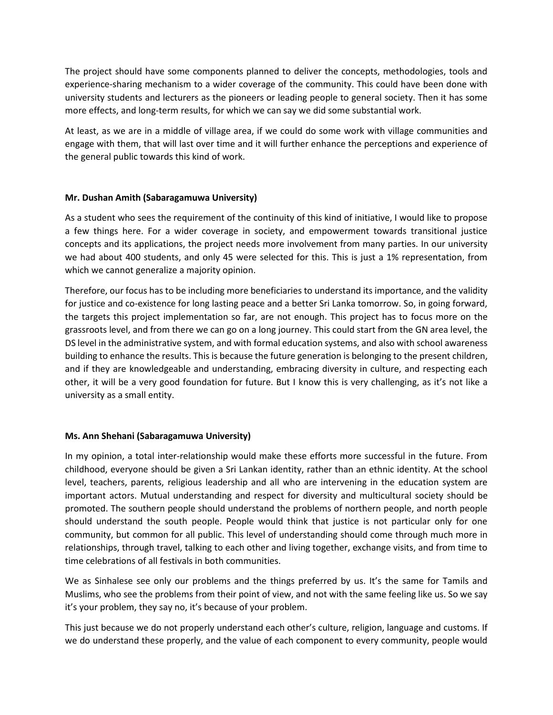The project should have some components planned to deliver the concepts, methodologies, tools and experience-sharing mechanism to a wider coverage of the community. This could have been done with university students and lecturers as the pioneers or leading people to general society. Then it has some more effects, and long-term results, for which we can say we did some substantial work.

At least, as we are in a middle of village area, if we could do some work with village communities and engage with them, that will last over time and it will further enhance the perceptions and experience of the general public towards this kind of work.

# **Mr. Dushan Amith (Sabaragamuwa University)**

As a student who sees the requirement of the continuity of this kind of initiative, I would like to propose a few things here. For a wider coverage in society, and empowerment towards transitional justice concepts and its applications, the project needs more involvement from many parties. In our university we had about 400 students, and only 45 were selected for this. This is just a 1% representation, from which we cannot generalize a majority opinion.

Therefore, our focus has to be including more beneficiaries to understand its importance, and the validity for justice and co-existence for long lasting peace and a better Sri Lanka tomorrow. So, in going forward, the targets this project implementation so far, are not enough. This project has to focus more on the grassroots level, and from there we can go on a long journey. This could start from the GN area level, the DS level in the administrative system, and with formal education systems, and also with school awareness building to enhance the results. This is because the future generation is belonging to the present children, and if they are knowledgeable and understanding, embracing diversity in culture, and respecting each other, it will be a very good foundation for future. But I know this is very challenging, as it's not like a university as a small entity.

## **Ms. Ann Shehani (Sabaragamuwa University)**

In my opinion, a total inter-relationship would make these efforts more successful in the future. From childhood, everyone should be given a Sri Lankan identity, rather than an ethnic identity. At the school level, teachers, parents, religious leadership and all who are intervening in the education system are important actors. Mutual understanding and respect for diversity and multicultural society should be promoted. The southern people should understand the problems of northern people, and north people should understand the south people. People would think that justice is not particular only for one community, but common for all public. This level of understanding should come through much more in relationships, through travel, talking to each other and living together, exchange visits, and from time to time celebrations of all festivals in both communities.

We as Sinhalese see only our problems and the things preferred by us. It's the same for Tamils and Muslims, who see the problems from their point of view, and not with the same feeling like us. So we say it's your problem, they say no, it's because of your problem.

This just because we do not properly understand each other's culture, religion, language and customs. If we do understand these properly, and the value of each component to every community, people would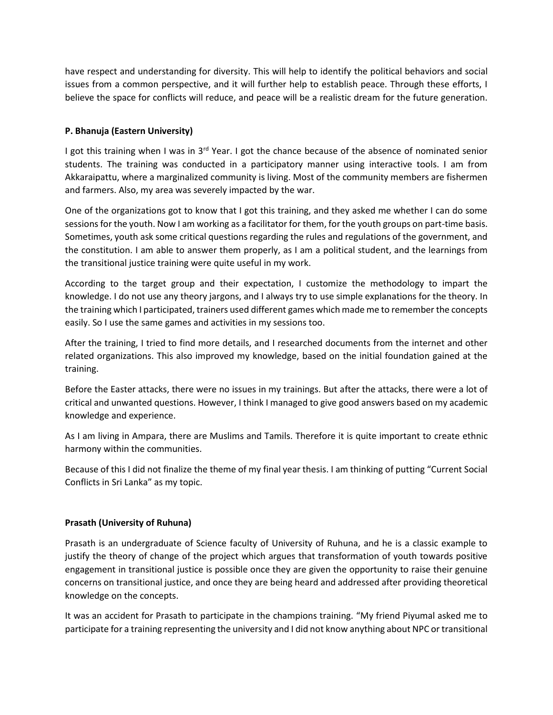have respect and understanding for diversity. This will help to identify the political behaviors and social issues from a common perspective, and it will further help to establish peace. Through these efforts, I believe the space for conflicts will reduce, and peace will be a realistic dream for the future generation.

# **P. Bhanuja (Eastern University)**

I got this training when I was in  $3<sup>rd</sup>$  Year. I got the chance because of the absence of nominated senior students. The training was conducted in a participatory manner using interactive tools. I am from Akkaraipattu, where a marginalized community is living. Most of the community members are fishermen and farmers. Also, my area was severely impacted by the war.

One of the organizations got to know that I got this training, and they asked me whether I can do some sessions for the youth. Now I am working as a facilitator for them, for the youth groups on part-time basis. Sometimes, youth ask some critical questions regarding the rules and regulations of the government, and the constitution. I am able to answer them properly, as I am a political student, and the learnings from the transitional justice training were quite useful in my work.

According to the target group and their expectation, I customize the methodology to impart the knowledge. I do not use any theory jargons, and I always try to use simple explanations for the theory. In the training which I participated, trainers used different games which made me to remember the concepts easily. So I use the same games and activities in my sessions too.

After the training, I tried to find more details, and I researched documents from the internet and other related organizations. This also improved my knowledge, based on the initial foundation gained at the training.

Before the Easter attacks, there were no issues in my trainings. But after the attacks, there were a lot of critical and unwanted questions. However, I think I managed to give good answers based on my academic knowledge and experience.

As I am living in Ampara, there are Muslims and Tamils. Therefore it is quite important to create ethnic harmony within the communities.

Because of this I did not finalize the theme of my final year thesis. I am thinking of putting "Current Social Conflicts in Sri Lanka" as my topic.

## **Prasath (University of Ruhuna)**

Prasath is an undergraduate of Science faculty of University of Ruhuna, and he is a classic example to justify the theory of change of the project which argues that transformation of youth towards positive engagement in transitional justice is possible once they are given the opportunity to raise their genuine concerns on transitional justice, and once they are being heard and addressed after providing theoretical knowledge on the concepts.

It was an accident for Prasath to participate in the champions training. "My friend Piyumal asked me to participate for a training representing the university and I did not know anything about NPC or transitional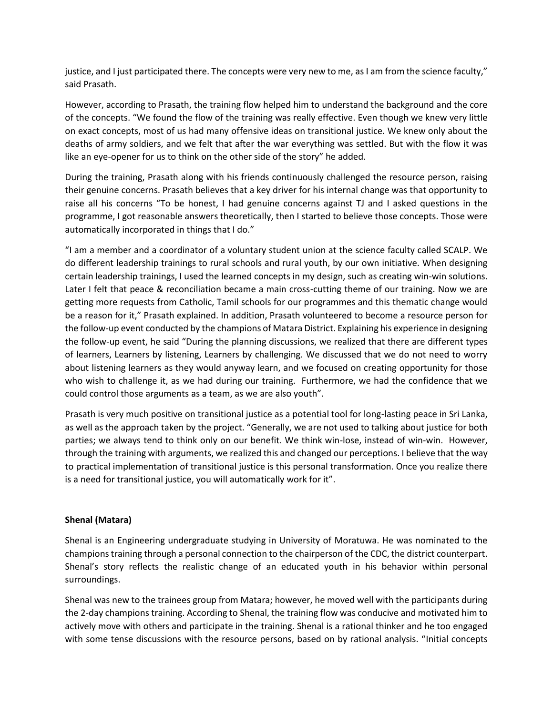justice, and I just participated there. The concepts were very new to me, as I am from the science faculty," said Prasath.

However, according to Prasath, the training flow helped him to understand the background and the core of the concepts. "We found the flow of the training was really effective. Even though we knew very little on exact concepts, most of us had many offensive ideas on transitional justice. We knew only about the deaths of army soldiers, and we felt that after the war everything was settled. But with the flow it was like an eye-opener for us to think on the other side of the story" he added.

During the training, Prasath along with his friends continuously challenged the resource person, raising their genuine concerns. Prasath believes that a key driver for his internal change was that opportunity to raise all his concerns "To be honest, I had genuine concerns against TJ and I asked questions in the programme, I got reasonable answers theoretically, then I started to believe those concepts. Those were automatically incorporated in things that I do."

"I am a member and a coordinator of a voluntary student union at the science faculty called SCALP. We do different leadership trainings to rural schools and rural youth, by our own initiative. When designing certain leadership trainings, I used the learned concepts in my design, such as creating win-win solutions. Later I felt that peace & reconciliation became a main cross-cutting theme of our training. Now we are getting more requests from Catholic, Tamil schools for our programmes and this thematic change would be a reason for it," Prasath explained. In addition, Prasath volunteered to become a resource person for the follow-up event conducted by the champions of Matara District. Explaining his experience in designing the follow-up event, he said "During the planning discussions, we realized that there are different types of learners, Learners by listening, Learners by challenging. We discussed that we do not need to worry about listening learners as they would anyway learn, and we focused on creating opportunity for those who wish to challenge it, as we had during our training. Furthermore, we had the confidence that we could control those arguments as a team, as we are also youth".

Prasath is very much positive on transitional justice as a potential tool for long-lasting peace in Sri Lanka, as well as the approach taken by the project. "Generally, we are not used to talking about justice for both parties; we always tend to think only on our benefit. We think win-lose, instead of win-win. However, through the training with arguments, we realized this and changed our perceptions. I believe that the way to practical implementation of transitional justice is this personal transformation. Once you realize there is a need for transitional justice, you will automatically work for it".

## **Shenal (Matara)**

Shenal is an Engineering undergraduate studying in University of Moratuwa. He was nominated to the champions training through a personal connection to the chairperson of the CDC, the district counterpart. Shenal's story reflects the realistic change of an educated youth in his behavior within personal surroundings.

Shenal was new to the trainees group from Matara; however, he moved well with the participants during the 2-day champions training. According to Shenal, the training flow was conducive and motivated him to actively move with others and participate in the training. Shenal is a rational thinker and he too engaged with some tense discussions with the resource persons, based on by rational analysis. "Initial concepts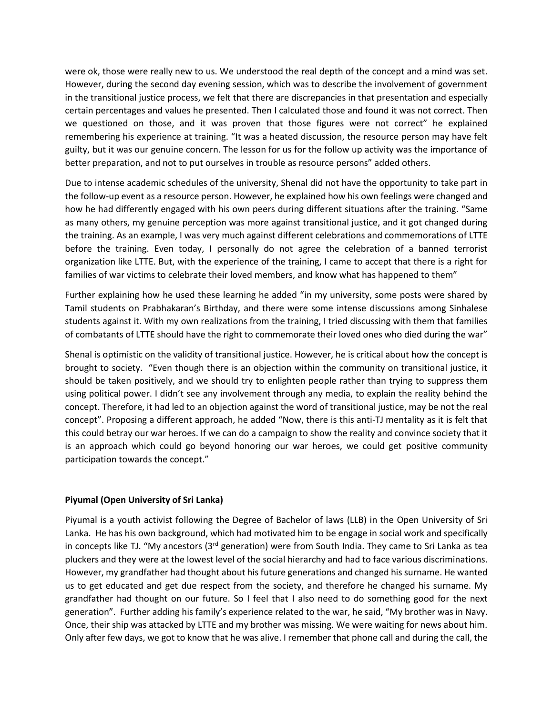were ok, those were really new to us. We understood the real depth of the concept and a mind was set. However, during the second day evening session, which was to describe the involvement of government in the transitional justice process, we felt that there are discrepancies in that presentation and especially certain percentages and values he presented. Then I calculated those and found it was not correct. Then we questioned on those, and it was proven that those figures were not correct" he explained remembering his experience at training. "It was a heated discussion, the resource person may have felt guilty, but it was our genuine concern. The lesson for us for the follow up activity was the importance of better preparation, and not to put ourselves in trouble as resource persons" added others.

Due to intense academic schedules of the university, Shenal did not have the opportunity to take part in the follow-up event as a resource person. However, he explained how his own feelings were changed and how he had differently engaged with his own peers during different situations after the training. "Same as many others, my genuine perception was more against transitional justice, and it got changed during the training. As an example, I was very much against different celebrations and commemorations of LTTE before the training. Even today, I personally do not agree the celebration of a banned terrorist organization like LTTE. But, with the experience of the training, I came to accept that there is a right for families of war victims to celebrate their loved members, and know what has happened to them"

Further explaining how he used these learning he added "in my university, some posts were shared by Tamil students on Prabhakaran's Birthday, and there were some intense discussions among Sinhalese students against it. With my own realizations from the training, I tried discussing with them that families of combatants of LTTE should have the right to commemorate their loved ones who died during the war"

Shenal is optimistic on the validity of transitional justice. However, he is critical about how the concept is brought to society. "Even though there is an objection within the community on transitional justice, it should be taken positively, and we should try to enlighten people rather than trying to suppress them using political power. I didn't see any involvement through any media, to explain the reality behind the concept. Therefore, it had led to an objection against the word of transitional justice, may be not the real concept". Proposing a different approach, he added "Now, there is this anti-TJ mentality as it is felt that this could betray our war heroes. If we can do a campaign to show the reality and convince society that it is an approach which could go beyond honoring our war heroes, we could get positive community participation towards the concept."

## **Piyumal (Open University of Sri Lanka)**

Piyumal is a youth activist following the Degree of Bachelor of laws (LLB) in the Open University of Sri Lanka. He has his own background, which had motivated him to be engage in social work and specifically in concepts like TJ. "My ancestors (3<sup>rd</sup> generation) were from South India. They came to Sri Lanka as tea pluckers and they were at the lowest level of the social hierarchy and had to face various discriminations. However, my grandfather had thought about his future generations and changed his surname. He wanted us to get educated and get due respect from the society, and therefore he changed his surname. My grandfather had thought on our future. So I feel that I also need to do something good for the next generation". Further adding his family's experience related to the war, he said, "My brother was in Navy. Once, their ship was attacked by LTTE and my brother was missing. We were waiting for news about him. Only after few days, we got to know that he was alive. I remember that phone call and during the call, the